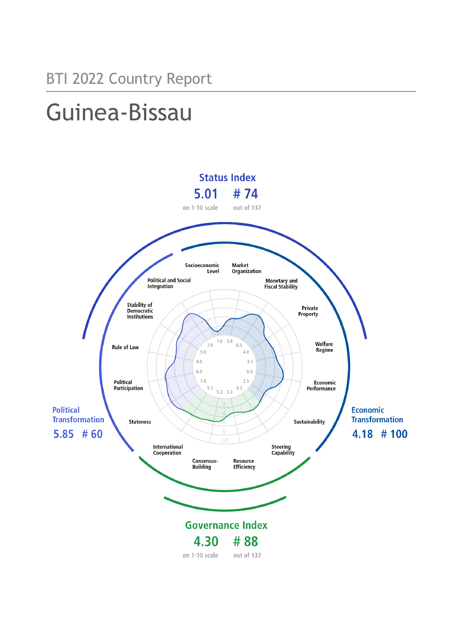# Guinea-Bissau

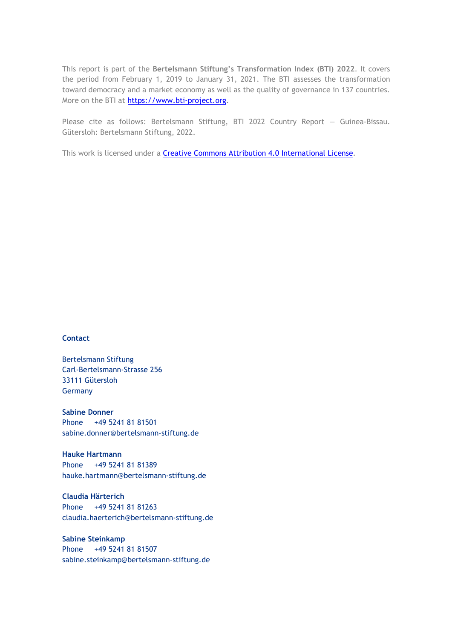This report is part of the **Bertelsmann Stiftung's Transformation Index (BTI) 2022**. It covers the period from February 1, 2019 to January 31, 2021. The BTI assesses the transformation toward democracy and a market economy as well as the quality of governance in 137 countries. More on the BTI at [https://www.bti-project.org.](https://www.bti-project.org/)

Please cite as follows: Bertelsmann Stiftung, BTI 2022 Country Report — Guinea-Bissau. Gütersloh: Bertelsmann Stiftung, 2022.

This work is licensed under a **Creative Commons Attribution 4.0 International License**.

#### **Contact**

Bertelsmann Stiftung Carl-Bertelsmann-Strasse 256 33111 Gütersloh Germany

**Sabine Donner** Phone +49 5241 81 81501 sabine.donner@bertelsmann-stiftung.de

**Hauke Hartmann** Phone +49 5241 81 81389 hauke.hartmann@bertelsmann-stiftung.de

**Claudia Härterich** Phone +49 5241 81 81263 claudia.haerterich@bertelsmann-stiftung.de

#### **Sabine Steinkamp** Phone +49 5241 81 81507 sabine.steinkamp@bertelsmann-stiftung.de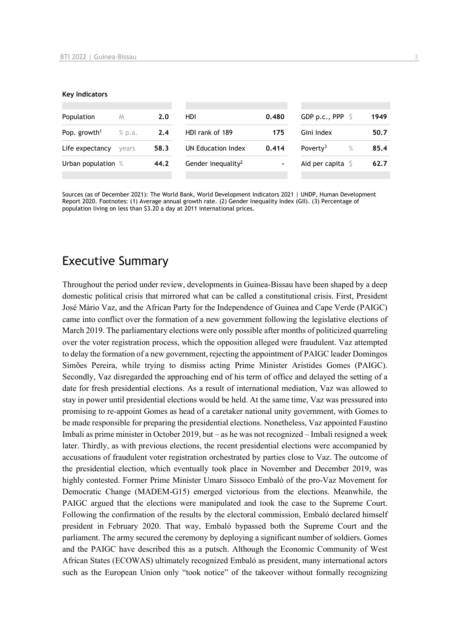#### **Key Indicators**

| Population               | M      | 2.0  | HDI                            | 0.480 | GDP p.c., PPP $\ S$          | 1949 |
|--------------------------|--------|------|--------------------------------|-------|------------------------------|------|
| Pop. growth <sup>1</sup> | % p.a. | 2.4  | HDI rank of 189                | 175   | Gini Index                   | 50.7 |
| Life expectancy          | vears  | 58.3 | UN Education Index             | 0.414 | $\%$<br>Poverty <sup>3</sup> | 85.4 |
| Urban population %       |        | 44.2 | Gender inequality <sup>2</sup> | ٠     | Aid per capita $\sqrt{5}$    | 62.7 |
|                          |        |      |                                |       |                              |      |

Sources (as of December 2021): The World Bank, World Development Indicators 2021 | UNDP, Human Development Report 2020. Footnotes: (1) Average annual growth rate. (2) Gender Inequality Index (GII). (3) Percentage of population living on less than \$3.20 a day at 2011 international prices.

# Executive Summary

Throughout the period under review, developments in Guinea-Bissau have been shaped by a deep domestic political crisis that mirrored what can be called a constitutional crisis. First, President José Mário Vaz, and the African Party for the Independence of Guinea and Cape Verde (PAIGC) came into conflict over the formation of a new government following the legislative elections of March 2019. The parliamentary elections were only possible after months of politicized quarreling over the voter registration process, which the opposition alleged were fraudulent. Vaz attempted to delay the formation of a new government, rejecting the appointment of PAIGC leader Domingos Simões Pereira, while trying to dismiss acting Prime Minister Aristides Gomes (PAIGC). Secondly, Vaz disregarded the approaching end of his term of office and delayed the setting of a date for fresh presidential elections. As a result of international mediation, Vaz was allowed to stay in power until presidential elections would be held. At the same time, Vaz was pressured into promising to re-appoint Gomes as head of a caretaker national unity government, with Gomes to be made responsible for preparing the presidential elections. Nonetheless, Vaz appointed Faustino Imbali as prime minister in October 2019, but – as he was not recognized – Imbali resigned a week later. Thirdly, as with previous elections, the recent presidential elections were accompanied by accusations of fraudulent voter registration orchestrated by parties close to Vaz. The outcome of the presidential election, which eventually took place in November and December 2019, was highly contested. Former Prime Minister Umaro Sissoco Embaló of the pro-Vaz Movement for Democratic Change (MADEM-G15) emerged victorious from the elections. Meanwhile, the PAIGC argued that the elections were manipulated and took the case to the Supreme Court. Following the confirmation of the results by the electoral commission, Embaló declared himself president in February 2020. That way, Embaló bypassed both the Supreme Court and the parliament. The army secured the ceremony by deploying a significant number of soldiers. Gomes and the PAIGC have described this as a putsch. Although the Economic Community of West African States (ECOWAS) ultimately recognized Embaló as president, many international actors such as the European Union only "took notice" of the takeover without formally recognizing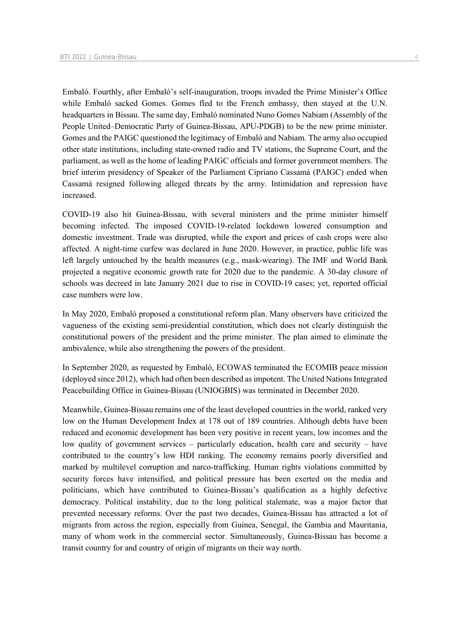Embaló. Fourthly, after Embaló's self-inauguration, troops invaded the Prime Minister's Office while Embaló sacked Gomes. Gomes fled to the French embassy, then stayed at the U.N. headquarters in Bissau. The same day, Embaló nominated Nuno Gomes Nabiam (Assembly of the People United–Democratic Party of Guinea-Bissau, APU-PDGB) to be the new prime minister. Gomes and the PAIGC questioned the legitimacy of Embaló and Nabiam. The army also occupied other state institutions, including state-owned radio and TV stations, the Supreme Court, and the parliament, as well as the home of leading PAIGC officials and former government members. The brief interim presidency of Speaker of the Parliament Cipriano Cassamá (PAIGC) ended when Cassamá resigned following alleged threats by the army. Intimidation and repression have increased.

COVID-19 also hit Guinea-Bissau, with several ministers and the prime minister himself becoming infected. The imposed COVID-19-related lockdown lowered consumption and domestic investment. Trade was disrupted, while the export and prices of cash crops were also affected. A night-time curfew was declared in June 2020. However, in practice, public life was left largely untouched by the health measures (e.g., mask-wearing). The IMF and World Bank projected a negative economic growth rate for 2020 due to the pandemic. A 30-day closure of schools was decreed in late January 2021 due to rise in COVID-19 cases; yet, reported official case numbers were low.

In May 2020, Embaló proposed a constitutional reform plan. Many observers have criticized the vagueness of the existing semi-presidential constitution, which does not clearly distinguish the constitutional powers of the president and the prime minister. The plan aimed to eliminate the ambivalence, while also strengthening the powers of the president.

In September 2020, as requested by Embaló, ECOWAS terminated the ECOMIB peace mission (deployed since 2012), which had often been described as impotent. The United Nations Integrated Peacebuilding Office in Guinea-Bissau (UNIOGBIS) was terminated in December 2020.

Meanwhile, Guinea-Bissau remains one of the least developed countries in the world, ranked very low on the Human Development Index at 178 out of 189 countries. Although debts have been reduced and economic development has been very positive in recent years, low incomes and the low quality of government services – particularly education, health care and security – have contributed to the country's low HDI ranking. The economy remains poorly diversified and marked by multilevel corruption and narco-trafficking. Human rights violations committed by security forces have intensified, and political pressure has been exerted on the media and politicians, which have contributed to Guinea-Bissau's qualification as a highly defective democracy. Political instability, due to the long political stalemate, was a major factor that prevented necessary reforms. Over the past two decades, Guinea-Bissau has attracted a lot of migrants from across the region, especially from Guinea, Senegal, the Gambia and Mauritania, many of whom work in the commercial sector. Simultaneously, Guinea-Bissau has become a transit country for and country of origin of migrants on their way north.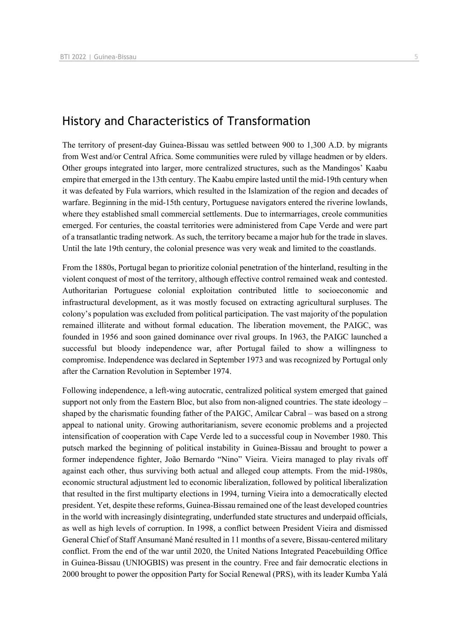# History and Characteristics of Transformation

The territory of present-day Guinea-Bissau was settled between 900 to 1,300 A.D. by migrants from West and/or Central Africa. Some communities were ruled by village headmen or by elders. Other groups integrated into larger, more centralized structures, such as the Mandingos' Kaabu empire that emerged in the 13th century. The Kaabu empire lasted until the mid-19th century when it was defeated by Fula warriors, which resulted in the Islamization of the region and decades of warfare. Beginning in the mid-15th century, Portuguese navigators entered the riverine lowlands, where they established small commercial settlements. Due to intermarriages, creole communities emerged. For centuries, the coastal territories were administered from Cape Verde and were part of a transatlantic trading network. As such, the territory became a major hub for the trade in slaves. Until the late 19th century, the colonial presence was very weak and limited to the coastlands.

From the 1880s, Portugal began to prioritize colonial penetration of the hinterland, resulting in the violent conquest of most of the territory, although effective control remained weak and contested. Authoritarian Portuguese colonial exploitation contributed little to socioeconomic and infrastructural development, as it was mostly focused on extracting agricultural surpluses. The colony's population was excluded from political participation. The vast majority of the population remained illiterate and without formal education. The liberation movement, the PAIGC, was founded in 1956 and soon gained dominance over rival groups. In 1963, the PAIGC launched a successful but bloody independence war, after Portugal failed to show a willingness to compromise. Independence was declared in September 1973 and was recognized by Portugal only after the Carnation Revolution in September 1974.

Following independence, a left-wing autocratic, centralized political system emerged that gained support not only from the Eastern Bloc, but also from non-aligned countries. The state ideology – shaped by the charismatic founding father of the PAIGC, Amílcar Cabral – was based on a strong appeal to national unity. Growing authoritarianism, severe economic problems and a projected intensification of cooperation with Cape Verde led to a successful coup in November 1980. This putsch marked the beginning of political instability in Guinea-Bissau and brought to power a former independence fighter, João Bernardo "Nino" Vieira. Vieira managed to play rivals off against each other, thus surviving both actual and alleged coup attempts. From the mid-1980s, economic structural adjustment led to economic liberalization, followed by political liberalization that resulted in the first multiparty elections in 1994, turning Vieira into a democratically elected president. Yet, despite these reforms, Guinea-Bissau remained one of the least developed countries in the world with increasingly disintegrating, underfunded state structures and underpaid officials, as well as high levels of corruption. In 1998, a conflict between President Vieira and dismissed General Chief of Staff Ansumané Mané resulted in 11 months of a severe, Bissau-centered military conflict. From the end of the war until 2020, the United Nations Integrated Peacebuilding Office in Guinea-Bissau (UNIOGBIS) was present in the country. Free and fair democratic elections in 2000 brought to power the opposition Party for Social Renewal (PRS), with its leader Kumba Yalá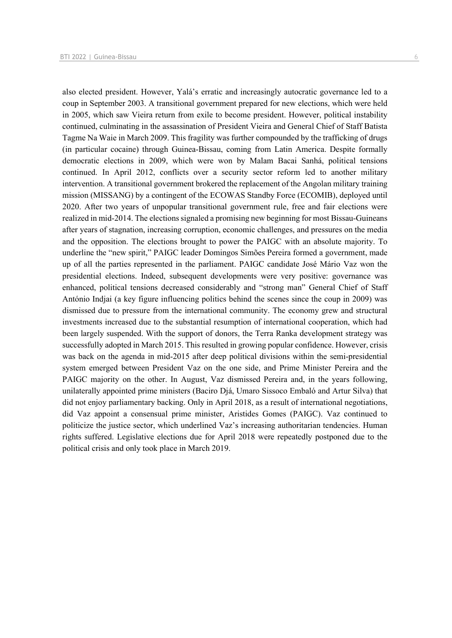also elected president. However, Yalá's erratic and increasingly autocratic governance led to a coup in September 2003. A transitional government prepared for new elections, which were held in 2005, which saw Vieira return from exile to become president. However, political instability continued, culminating in the assassination of President Vieira and General Chief of Staff Batista Tagme Na Waie in March 2009. This fragility was further compounded by the trafficking of drugs (in particular cocaine) through Guinea-Bissau, coming from Latin America. Despite formally democratic elections in 2009, which were won by Malam Bacai Sanhá, political tensions continued. In April 2012, conflicts over a security sector reform led to another military intervention. A transitional government brokered the replacement of the Angolan military training mission (MISSANG) by a contingent of the ECOWAS Standby Force (ECOMIB), deployed until 2020. After two years of unpopular transitional government rule, free and fair elections were realized in mid-2014. The elections signaled a promising new beginning for most Bissau-Guineans after years of stagnation, increasing corruption, economic challenges, and pressures on the media and the opposition. The elections brought to power the PAIGC with an absolute majority. To underline the "new spirit," PAIGC leader Domingos Simões Pereira formed a government, made up of all the parties represented in the parliament. PAIGC candidate José Mário Vaz won the presidential elections. Indeed, subsequent developments were very positive: governance was enhanced, political tensions decreased considerably and "strong man" General Chief of Staff António Indjai (a key figure influencing politics behind the scenes since the coup in 2009) was dismissed due to pressure from the international community. The economy grew and structural investments increased due to the substantial resumption of international cooperation, which had been largely suspended. With the support of donors, the Terra Ranka development strategy was successfully adopted in March 2015. This resulted in growing popular confidence. However, crisis was back on the agenda in mid-2015 after deep political divisions within the semi-presidential system emerged between President Vaz on the one side, and Prime Minister Pereira and the PAIGC majority on the other. In August, Vaz dismissed Pereira and, in the years following, unilaterally appointed prime ministers (Baciro Djá, Umaro Sissoco Embaló and Artur Silva) that did not enjoy parliamentary backing. Only in April 2018, as a result of international negotiations, did Vaz appoint a consensual prime minister, Aristides Gomes (PAIGC). Vaz continued to politicize the justice sector, which underlined Vaz's increasing authoritarian tendencies. Human rights suffered. Legislative elections due for April 2018 were repeatedly postponed due to the political crisis and only took place in March 2019.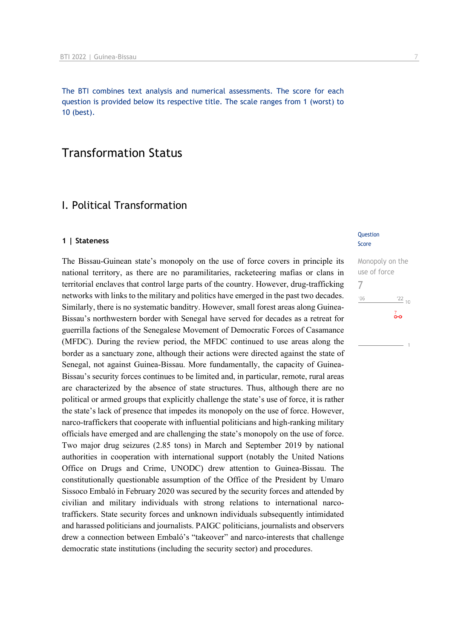The BTI combines text analysis and numerical assessments. The score for each question is provided below its respective title. The scale ranges from 1 (worst) to 10 (best).

# Transformation Status

# I. Political Transformation

#### **1 | Stateness**

The Bissau-Guinean state's monopoly on the use of force covers in principle its national territory, as there are no paramilitaries, racketeering mafias or clans in territorial enclaves that control large parts of the country. However, drug-trafficking networks with links to the military and politics have emerged in the past two decades. Similarly, there is no systematic banditry. However, small forest areas along Guinea-Bissau's northwestern border with Senegal have served for decades as a retreat for guerrilla factions of the Senegalese Movement of Democratic Forces of Casamance (MFDC). During the review period, the MFDC continued to use areas along the border as a sanctuary zone, although their actions were directed against the state of Senegal, not against Guinea-Bissau. More fundamentally, the capacity of Guinea-Bissau's security forces continues to be limited and, in particular, remote, rural areas are characterized by the absence of state structures. Thus, although there are no political or armed groups that explicitly challenge the state's use of force, it is rather the state's lack of presence that impedes its monopoly on the use of force. However, narco-traffickers that cooperate with influential politicians and high-ranking military officials have emerged and are challenging the state's monopoly on the use of force. Two major drug seizures (2.85 tons) in March and September 2019 by national authorities in cooperation with international support (notably the United Nations Office on Drugs and Crime, UNODC) drew attention to Guinea-Bissau. The constitutionally questionable assumption of the Office of the President by Umaro Sissoco Embaló in February 2020 was secured by the security forces and attended by civilian and military individuals with strong relations to international narcotraffickers. State security forces and unknown individuals subsequently intimidated and harassed politicians and journalists. PAIGC politicians, journalists and observers drew a connection between Embaló's "takeover" and narco-interests that challenge democratic state institutions (including the security sector) and procedures.

#### **Question** Score

Monopoly on the use of force 7 $\frac{22}{10}$  $106$  $\overline{0}$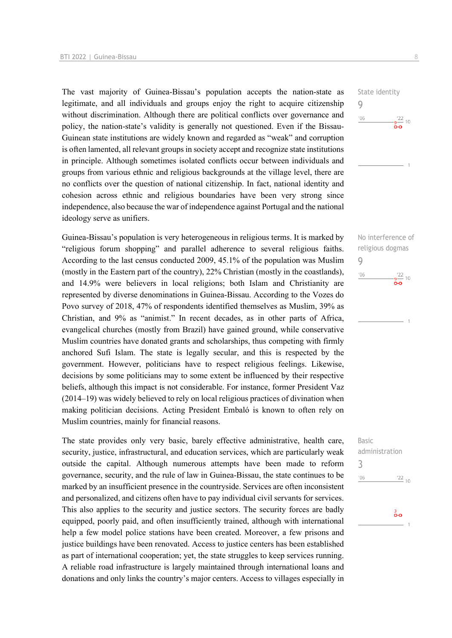The vast majority of Guinea-Bissau's population accepts the nation-state as legitimate, and all individuals and groups enjoy the right to acquire citizenship without discrimination. Although there are political conflicts over governance and policy, the nation-state's validity is generally not questioned. Even if the Bissau-Guinean state institutions are widely known and regarded as "weak" and corruption is often lamented, all relevant groups in society accept and recognize state institutions in principle. Although sometimes isolated conflicts occur between individuals and groups from various ethnic and religious backgrounds at the village level, there are no conflicts over the question of national citizenship. In fact, national identity and cohesion across ethnic and religious boundaries have been very strong since independence, also because the war of independence against Portugal and the national ideology serve as unifiers.

Guinea-Bissau's population is very heterogeneous in religious terms. It is marked by "religious forum shopping" and parallel adherence to several religious faiths. According to the last census conducted 2009, 45.1% of the population was Muslim (mostly in the Eastern part of the country), 22% Christian (mostly in the coastlands), and 14.9% were believers in local religions; both Islam and Christianity are represented by diverse denominations in Guinea-Bissau. According to the Vozes do Povo survey of 2018, 47% of respondents identified themselves as Muslim, 39% as Christian, and 9% as "animist." In recent decades, as in other parts of Africa, evangelical churches (mostly from Brazil) have gained ground, while conservative Muslim countries have donated grants and scholarships, thus competing with firmly anchored Sufi Islam. The state is legally secular, and this is respected by the government. However, politicians have to respect religious feelings. Likewise, decisions by some politicians may to some extent be influenced by their respective beliefs, although this impact is not considerable. For instance, former President Vaz (2014–19) was widely believed to rely on local religious practices of divination when making politician decisions. Acting President Embaló is known to often rely on Muslim countries, mainly for financial reasons.

The state provides only very basic, barely effective administrative, health care, security, justice, infrastructural, and education services, which are particularly weak outside the capital. Although numerous attempts have been made to reform governance, security, and the rule of law in Guinea-Bissau, the state continues to be marked by an insufficient presence in the countryside. Services are often inconsistent and personalized, and citizens often have to pay individual civil servants for services. This also applies to the security and justice sectors. The security forces are badly equipped, poorly paid, and often insufficiently trained, although with international help a few model police stations have been created. Moreover, a few prisons and justice buildings have been renovated. Access to justice centers has been established as part of international cooperation; yet, the state struggles to keep services running. A reliable road infrastructure is largely maintained through international loans and donations and only links the country's major centers. Access to villages especially in

State identity 9  $\frac{22}{10}$  $06'$ õю





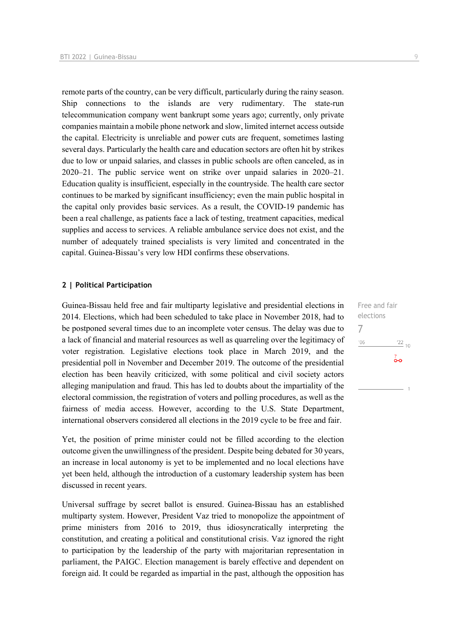remote parts of the country, can be very difficult, particularly during the rainy season. Ship connections to the islands are very rudimentary. The state-run telecommunication company went bankrupt some years ago; currently, only private companies maintain a mobile phone network and slow, limited internet access outside the capital. Electricity is unreliable and power cuts are frequent, sometimes lasting several days. Particularly the health care and education sectors are often hit by strikes due to low or unpaid salaries, and classes in public schools are often canceled, as in 2020–21. The public service went on strike over unpaid salaries in 2020–21. Education quality is insufficient, especially in the countryside. The health care sector continues to be marked by significant insufficiency; even the main public hospital in the capital only provides basic services. As a result, the COVID-19 pandemic has been a real challenge, as patients face a lack of testing, treatment capacities, medical supplies and access to services. A reliable ambulance service does not exist, and the number of adequately trained specialists is very limited and concentrated in the capital. Guinea-Bissau's very low HDI confirms these observations.

#### **2 | Political Participation**

Guinea-Bissau held free and fair multiparty legislative and presidential elections in 2014. Elections, which had been scheduled to take place in November 2018, had to be postponed several times due to an incomplete voter census. The delay was due to a lack of financial and material resources as well as quarreling over the legitimacy of voter registration. Legislative elections took place in March 2019, and the presidential poll in November and December 2019. The outcome of the presidential election has been heavily criticized, with some political and civil society actors alleging manipulation and fraud. This has led to doubts about the impartiality of the electoral commission, the registration of voters and polling procedures, as well as the fairness of media access. However, according to the U.S. State Department, international observers considered all elections in the 2019 cycle to be free and fair.

Yet, the position of prime minister could not be filled according to the election outcome given the unwillingness of the president. Despite being debated for 30 years, an increase in local autonomy is yet to be implemented and no local elections have yet been held, although the introduction of a customary leadership system has been discussed in recent years.

Universal suffrage by secret ballot is ensured. Guinea-Bissau has an established multiparty system. However, President Vaz tried to monopolize the appointment of prime ministers from 2016 to 2019, thus idiosyncratically interpreting the constitution, and creating a political and constitutional crisis. Vaz ignored the right to participation by the leadership of the party with majoritarian representation in parliament, the PAIGC. Election management is barely effective and dependent on foreign aid. It could be regarded as impartial in the past, although the opposition has

Free and fair elections 7 $'06$  $\frac{22}{10}$  $\overline{0}$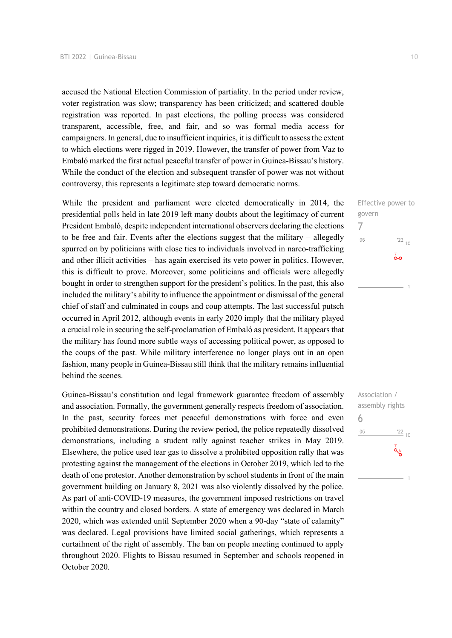accused the National Election Commission of partiality. In the period under review, voter registration was slow; transparency has been criticized; and scattered double registration was reported. In past elections, the polling process was considered transparent, accessible, free, and fair, and so was formal media access for campaigners. In general, due to insufficient inquiries, it is difficult to assess the extent to which elections were rigged in 2019. However, the transfer of power from Vaz to Embaló marked the first actual peaceful transfer of power in Guinea-Bissau's history. While the conduct of the election and subsequent transfer of power was not without controversy, this represents a legitimate step toward democratic norms.

While the president and parliament were elected democratically in 2014, the presidential polls held in late 2019 left many doubts about the legitimacy of current President Embaló, despite independent international observers declaring the elections to be free and fair. Events after the elections suggest that the military – allegedly spurred on by politicians with close ties to individuals involved in narco-trafficking and other illicit activities – has again exercised its veto power in politics. However, this is difficult to prove. Moreover, some politicians and officials were allegedly bought in order to strengthen support for the president's politics. In the past, this also included the military's ability to influence the appointment or dismissal of the general chief of staff and culminated in coups and coup attempts. The last successful putsch occurred in April 2012, although events in early 2020 imply that the military played a crucial role in securing the self-proclamation of Embaló as president. It appears that the military has found more subtle ways of accessing political power, as opposed to the coups of the past. While military interference no longer plays out in an open fashion, many people in Guinea-Bissau still think that the military remains influential behind the scenes.

Guinea-Bissau's constitution and legal framework guarantee freedom of assembly and association. Formally, the government generally respects freedom of association. In the past, security forces met peaceful demonstrations with force and even prohibited demonstrations. During the review period, the police repeatedly dissolved demonstrations, including a student rally against teacher strikes in May 2019. Elsewhere, the police used tear gas to dissolve a prohibited opposition rally that was protesting against the management of the elections in October 2019, which led to the death of one protestor. Another demonstration by school students in front of the main government building on January 8, 2021 was also violently dissolved by the police. As part of anti-COVID-19 measures, the government imposed restrictions on travel within the country and closed borders. A state of emergency was declared in March 2020, which was extended until September 2020 when a 90-day "state of calamity" was declared. Legal provisions have limited social gatherings, which represents a curtailment of the right of assembly. The ban on people meeting continued to apply throughout 2020. Flights to Bissau resumed in September and schools reopened in October 2020.

govern 7  $106$  $\frac{22}{10}$  $\overline{0}$ 

Effective power to

Association / assembly rights 6 $'06$  $\frac{22}{10}$  $\alpha_5$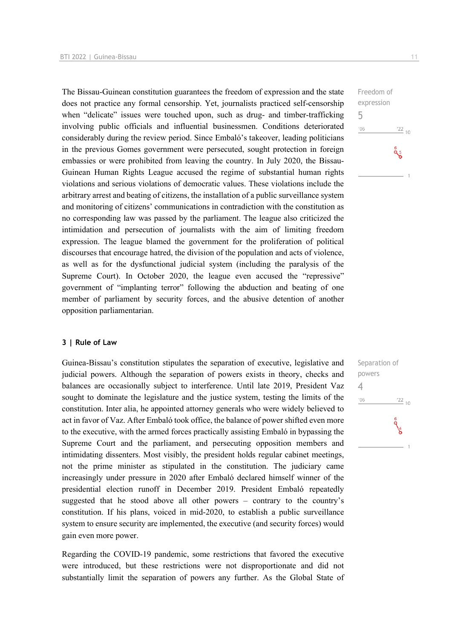The Bissau-Guinean constitution guarantees the freedom of expression and the state does not practice any formal censorship. Yet, journalists practiced self-censorship when "delicate" issues were touched upon, such as drug- and timber-trafficking involving public officials and influential businessmen. Conditions deteriorated considerably during the review period. Since Embaló's takeover, leading politicians in the previous Gomes government were persecuted, sought protection in foreign embassies or were prohibited from leaving the country. In July 2020, the Bissau-Guinean Human Rights League accused the regime of substantial human rights violations and serious violations of democratic values. These violations include the arbitrary arrest and beating of citizens, the installation of a public surveillance system and monitoring of citizens' communications in contradiction with the constitution as no corresponding law was passed by the parliament. The league also criticized the intimidation and persecution of journalists with the aim of limiting freedom expression. The league blamed the government for the proliferation of political discourses that encourage hatred, the division of the population and acts of violence, as well as for the dysfunctional judicial system (including the paralysis of the Supreme Court). In October 2020, the league even accused the "repressive" government of "implanting terror" following the abduction and beating of one member of parliament by security forces, and the abusive detention of another opposition parliamentarian.

#### **3 | Rule of Law**

Guinea-Bissau's constitution stipulates the separation of executive, legislative and judicial powers. Although the separation of powers exists in theory, checks and balances are occasionally subject to interference. Until late 2019, President Vaz sought to dominate the legislature and the justice system, testing the limits of the constitution. Inter alia, he appointed attorney generals who were widely believed to act in favor of Vaz. After Embaló took office, the balance of power shifted even more to the executive, with the armed forces practically assisting Embaló in bypassing the Supreme Court and the parliament, and persecuting opposition members and intimidating dissenters. Most visibly, the president holds regular cabinet meetings, not the prime minister as stipulated in the constitution. The judiciary came increasingly under pressure in 2020 after Embaló declared himself winner of the presidential election runoff in December 2019. President Embaló repeatedly suggested that he stood above all other powers – contrary to the country's constitution. If his plans, voiced in mid-2020, to establish a public surveillance system to ensure security are implemented, the executive (and security forces) would gain even more power.

Regarding the COVID-19 pandemic, some restrictions that favored the executive were introduced, but these restrictions were not disproportionate and did not substantially limit the separation of powers any further. As the Global State of Freedom of expression 5  $^{\prime}06$  $\frac{22}{10}$  $a<sub>5</sub>$ 

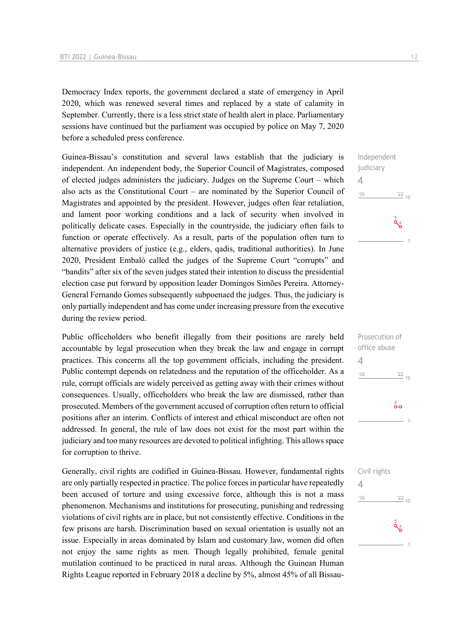Democracy Index reports, the government declared a state of emergency in April 2020, which was renewed several times and replaced by a state of calamity in September. Currently, there is a less strict state of health alert in place. Parliamentary sessions have continued but the parliament was occupied by police on May 7, 2020 before a scheduled press conference.

Guinea-Bissau's constitution and several laws establish that the judiciary is independent. An independent body, the Superior Council of Magistrates, composed of elected judges administers the judiciary. Judges on the Supreme Court – which also acts as the Constitutional Court – are nominated by the Superior Council of Magistrates and appointed by the president. However, judges often fear retaliation, and lament poor working conditions and a lack of security when involved in politically delicate cases. Especially in the countryside, the judiciary often fails to function or operate effectively. As a result, parts of the population often turn to alternative providers of justice (e.g., elders, qadis, traditional authorities). In June 2020, President Embaló called the judges of the Supreme Court "corrupts" and "bandits" after six of the seven judges stated their intention to discuss the presidential election case put forward by opposition leader Domingos Simões Pereira. Attorney-General Fernando Gomes subsequently subpoenaed the judges. Thus, the judiciary is only partially independent and has come under increasing pressure from the executive during the review period.

Public officeholders who benefit illegally from their positions are rarely held accountable by legal prosecution when they break the law and engage in corrupt practices. This concerns all the top government officials, including the president. Public contempt depends on relatedness and the reputation of the officeholder. As a rule, corrupt officials are widely perceived as getting away with their crimes without consequences. Usually, officeholders who break the law are dismissed, rather than prosecuted. Members of the government accused of corruption often return to official positions after an interim. Conflicts of interest and ethical misconduct are often not addressed. In general, the rule of law does not exist for the most part within the judiciary and too many resources are devoted to political infighting. This allows space for corruption to thrive.

Generally, civil rights are codified in Guinea-Bissau. However, fundamental rights are only partially respected in practice. The police forces in particular have repeatedly been accused of torture and using excessive force, although this is not a mass phenomenon. Mechanisms and institutions for prosecuting, punishing and redressing violations of civil rights are in place, but not consistently effective. Conditions in the few prisons are harsh. Discrimination based on sexual orientation is usually not an issue. Especially in areas dominated by Islam and customary law, women did often not enjoy the same rights as men. Though legally prohibited, female genital mutilation continued to be practiced in rural areas. Although the Guinean Human Rights League reported in February 2018 a decline by 5%, almost 45% of all Bissau-

# Independent judiciary 4  $\frac{22}{10}$  $'06$  $\frac{5}{9}$

| Prosecution of             |
|----------------------------|
| office abuse               |
| 4                          |
| '06<br>$\frac{22}{10}$     |
|                            |
|                            |
| $\overset{4}{\circ} \circ$ |
|                            |
|                            |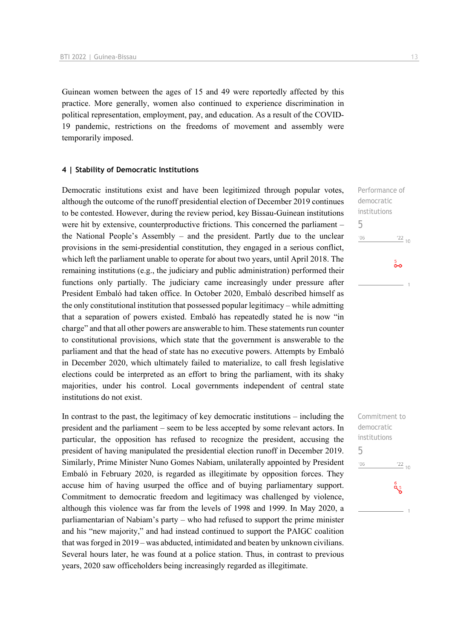Guinean women between the ages of 15 and 49 were reportedly affected by this practice. More generally, women also continued to experience discrimination in political representation, employment, pay, and education. As a result of the COVID-19 pandemic, restrictions on the freedoms of movement and assembly were temporarily imposed.

#### **4 | Stability of Democratic Institutions**

Democratic institutions exist and have been legitimized through popular votes, although the outcome of the runoff presidential election of December 2019 continues to be contested. However, during the review period, key Bissau-Guinean institutions were hit by extensive, counterproductive frictions. This concerned the parliament – the National People's Assembly – and the president. Partly due to the unclear provisions in the semi-presidential constitution, they engaged in a serious conflict, which left the parliament unable to operate for about two years, until April 2018. The remaining institutions (e.g., the judiciary and public administration) performed their functions only partially. The judiciary came increasingly under pressure after President Embaló had taken office. In October 2020, Embaló described himself as the only constitutional institution that possessed popular legitimacy – while admitting that a separation of powers existed. Embaló has repeatedly stated he is now "in charge" and that all other powers are answerable to him. These statements run counter to constitutional provisions, which state that the government is answerable to the parliament and that the head of state has no executive powers. Attempts by Embaló in December 2020, which ultimately failed to materialize, to call fresh legislative elections could be interpreted as an effort to bring the parliament, with its shaky majorities, under his control. Local governments independent of central state institutions do not exist.

In contrast to the past, the legitimacy of key democratic institutions – including the president and the parliament – seem to be less accepted by some relevant actors. In particular, the opposition has refused to recognize the president, accusing the president of having manipulated the presidential election runoff in December 2019. Similarly, Prime Minister Nuno Gomes Nabiam, unilaterally appointed by President Embaló in February 2020, is regarded as illegitimate by opposition forces. They accuse him of having usurped the office and of buying parliamentary support. Commitment to democratic freedom and legitimacy was challenged by violence, although this violence was far from the levels of 1998 and 1999. In May 2020, a parliamentarian of Nabiam's party – who had refused to support the prime minister and his "new majority," and had instead continued to support the PAIGC coalition that was forged in 2019 – was abducted, intimidated and beaten by unknown civilians. Several hours later, he was found at a police station. Thus, in contrast to previous years, 2020 saw officeholders being increasingly regarded as illegitimate.

Performance of democratic institutions 5  $06'$  $\frac{22}{10}$  $\frac{5}{2}$ 

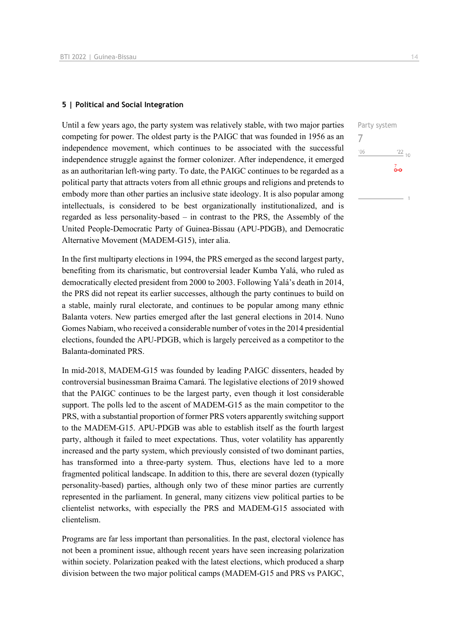#### **5 | Political and Social Integration**

Until a few years ago, the party system was relatively stable, with two major parties competing for power. The oldest party is the PAIGC that was founded in 1956 as an independence movement, which continues to be associated with the successful independence struggle against the former colonizer. After independence, it emerged as an authoritarian left-wing party. To date, the PAIGC continues to be regarded as a political party that attracts voters from all ethnic groups and religions and pretends to embody more than other parties an inclusive state ideology. It is also popular among intellectuals, is considered to be best organizationally institutionalized, and is regarded as less personality-based – in contrast to the PRS, the Assembly of the United People-Democratic Party of Guinea-Bissau (APU-PDGB), and Democratic Alternative Movement (MADEM-G15), inter alia.

In the first multiparty elections in 1994, the PRS emerged as the second largest party, benefiting from its charismatic, but controversial leader Kumba Yalá, who ruled as democratically elected president from 2000 to 2003. Following Yalá's death in 2014, the PRS did not repeat its earlier successes, although the party continues to build on a stable, mainly rural electorate, and continues to be popular among many ethnic Balanta voters. New parties emerged after the last general elections in 2014. Nuno Gomes Nabiam, who received a considerable number of votes in the 2014 presidential elections, founded the APU-PDGB, which is largely perceived as a competitor to the Balanta-dominated PRS.

In mid-2018, MADEM-G15 was founded by leading PAIGC dissenters, headed by controversial businessman Braima Camará. The legislative elections of 2019 showed that the PAIGC continues to be the largest party, even though it lost considerable support. The polls led to the ascent of MADEM-G15 as the main competitor to the PRS, with a substantial proportion of former PRS voters apparently switching support to the MADEM-G15. APU-PDGB was able to establish itself as the fourth largest party, although it failed to meet expectations. Thus, voter volatility has apparently increased and the party system, which previously consisted of two dominant parties, has transformed into a three-party system. Thus, elections have led to a more fragmented political landscape. In addition to this, there are several dozen (typically personality-based) parties, although only two of these minor parties are currently represented in the parliament. In general, many citizens view political parties to be clientelist networks, with especially the PRS and MADEM-G15 associated with clientelism.

Programs are far less important than personalities. In the past, electoral violence has not been a prominent issue, although recent years have seen increasing polarization within society. Polarization peaked with the latest elections, which produced a sharp division between the two major political camps (MADEM-G15 and PRS vs PAIGC,

7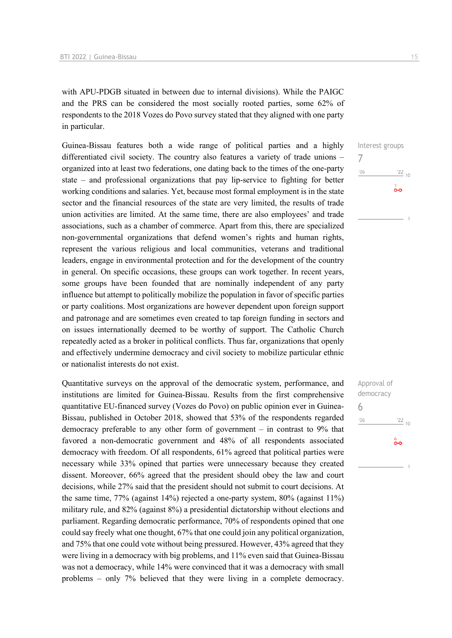with APU-PDGB situated in between due to internal divisions). While the PAIGC and the PRS can be considered the most socially rooted parties, some 62% of respondents to the 2018 Vozes do Povo survey stated that they aligned with one party in particular.

Guinea-Bissau features both a wide range of political parties and a highly differentiated civil society. The country also features a variety of trade unions – organized into at least two federations, one dating back to the times of the one-party state – and professional organizations that pay lip-service to fighting for better working conditions and salaries. Yet, because most formal employment is in the state sector and the financial resources of the state are very limited, the results of trade union activities are limited. At the same time, there are also employees' and trade associations, such as a chamber of commerce. Apart from this, there are specialized non-governmental organizations that defend women's rights and human rights, represent the various religious and local communities, veterans and traditional leaders, engage in environmental protection and for the development of the country in general. On specific occasions, these groups can work together. In recent years, some groups have been founded that are nominally independent of any party influence but attempt to politically mobilize the population in favor of specific parties or party coalitions. Most organizations are however dependent upon foreign support and patronage and are sometimes even created to tap foreign funding in sectors and on issues internationally deemed to be worthy of support. The Catholic Church repeatedly acted as a broker in political conflicts. Thus far, organizations that openly and effectively undermine democracy and civil society to mobilize particular ethnic or nationalist interests do not exist.

Quantitative surveys on the approval of the democratic system, performance, and institutions are limited for Guinea-Bissau. Results from the first comprehensive quantitative EU-financed survey (Vozes do Povo) on public opinion ever in Guinea-Bissau, published in October 2018, showed that 53% of the respondents regarded democracy preferable to any other form of government – in contrast to 9% that favored a non-democratic government and 48% of all respondents associated democracy with freedom. Of all respondents, 61% agreed that political parties were necessary while 33% opined that parties were unnecessary because they created dissent. Moreover, 66% agreed that the president should obey the law and court decisions, while 27% said that the president should not submit to court decisions. At the same time, 77% (against 14%) rejected a one-party system, 80% (against 11%) military rule, and 82% (against 8%) a presidential dictatorship without elections and parliament. Regarding democratic performance, 70% of respondents opined that one could say freely what one thought, 67% that one could join any political organization, and 75% that one could vote without being pressured. However, 43% agreed that they were living in a democracy with big problems, and 11% even said that Guinea-Bissau was not a democracy, while 14% were convinced that it was a democracy with small problems – only 7% believed that they were living in a complete democracy.

Interest groups 7  $'06$  $\frac{22}{10}$  $\overline{0}$ 

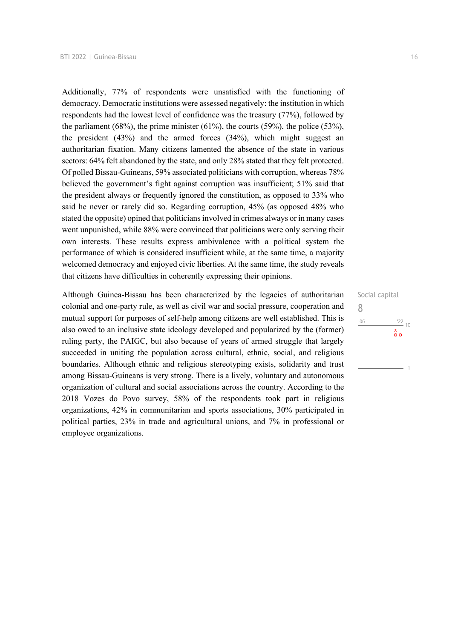Additionally, 77% of respondents were unsatisfied with the functioning of democracy. Democratic institutions were assessed negatively: the institution in which respondents had the lowest level of confidence was the treasury (77%), followed by the parliament  $(68\%)$ , the prime minister  $(61\%)$ , the courts  $(59\%)$ , the police  $(53\%)$ , the president (43%) and the armed forces (34%), which might suggest an authoritarian fixation. Many citizens lamented the absence of the state in various sectors: 64% felt abandoned by the state, and only 28% stated that they felt protected. Of polled Bissau-Guineans, 59% associated politicians with corruption, whereas 78% believed the government's fight against corruption was insufficient; 51% said that the president always or frequently ignored the constitution, as opposed to 33% who said he never or rarely did so. Regarding corruption, 45% (as opposed 48% who stated the opposite) opined that politicians involved in crimes always or in many cases went unpunished, while 88% were convinced that politicians were only serving their own interests. These results express ambivalence with a political system the performance of which is considered insufficient while, at the same time, a majority welcomed democracy and enjoyed civic liberties. At the same time, the study reveals that citizens have difficulties in coherently expressing their opinions.

Although Guinea-Bissau has been characterized by the legacies of authoritarian colonial and one-party rule, as well as civil war and social pressure, cooperation and mutual support for purposes of self-help among citizens are well established. This is also owed to an inclusive state ideology developed and popularized by the (former) ruling party, the PAIGC, but also because of years of armed struggle that largely succeeded in uniting the population across cultural, ethnic, social, and religious boundaries. Although ethnic and religious stereotyping exists, solidarity and trust among Bissau-Guineans is very strong. There is a lively, voluntary and autonomous organization of cultural and social associations across the country. According to the 2018 Vozes do Povo survey, 58% of the respondents took part in religious organizations, 42% in communitarian and sports associations, 30% participated in political parties, 23% in trade and agricultural unions, and 7% in professional or employee organizations.

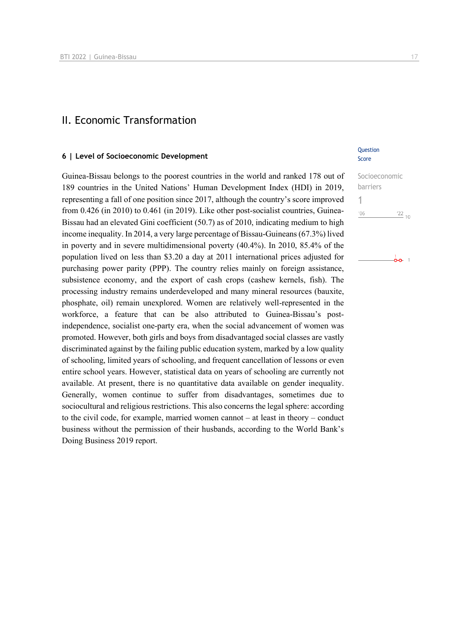### II. Economic Transformation

#### **6 | Level of Socioeconomic Development**

Guinea-Bissau belongs to the poorest countries in the world and ranked 178 out of 189 countries in the United Nations' Human Development Index (HDI) in 2019, representing a fall of one position since 2017, although the country's score improved from 0.426 (in 2010) to 0.461 (in 2019). Like other post-socialist countries, Guinea-Bissau had an elevated Gini coefficient (50.7) as of 2010, indicating medium to high income inequality. In 2014, a very large percentage of Bissau-Guineans (67.3%) lived in poverty and in severe multidimensional poverty (40.4%). In 2010, 85.4% of the population lived on less than \$3.20 a day at 2011 international prices adjusted for purchasing power parity (PPP). The country relies mainly on foreign assistance, subsistence economy, and the export of cash crops (cashew kernels, fish). The processing industry remains underdeveloped and many mineral resources (bauxite, phosphate, oil) remain unexplored. Women are relatively well-represented in the workforce, a feature that can be also attributed to Guinea-Bissau's postindependence, socialist one-party era, when the social advancement of women was promoted. However, both girls and boys from disadvantaged social classes are vastly discriminated against by the failing public education system, marked by a low quality of schooling, limited years of schooling, and frequent cancellation of lessons or even entire school years. However, statistical data on years of schooling are currently not available. At present, there is no quantitative data available on gender inequality. Generally, women continue to suffer from disadvantages, sometimes due to sociocultural and religious restrictions. This also concerns the legal sphere: according to the civil code, for example, married women cannot – at least in theory – conduct business without the permission of their husbands, according to the World Bank's Doing Business 2019 report.

#### **Question** Score

| Socioeconomic |            |
|---------------|------------|
| barriers      |            |
|               |            |
| 106           | $122_{10}$ |
|               |            |

 $\overset{1}{\mathbf{0}}\mathbf{0}$  1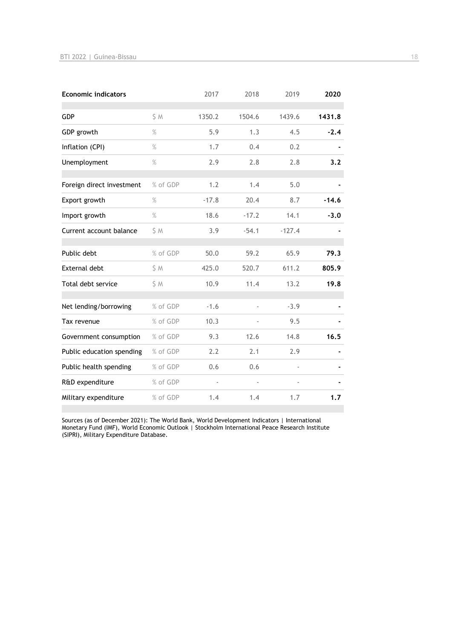| <b>Economic indicators</b> |          | 2017    | 2018    | 2019     | 2020    |
|----------------------------|----------|---------|---------|----------|---------|
| <b>GDP</b>                 | S M      | 1350.2  | 1504.6  | 1439.6   | 1431.8  |
| GDP growth                 | $\%$     | 5.9     | 1.3     | 4.5      | $-2.4$  |
| Inflation (CPI)            | $\%$     | 1.7     | 0.4     | 0.2      |         |
| Unemployment               | $\%$     | 2.9     | 2.8     | 2.8      | 3.2     |
| Foreign direct investment  | % of GDP | 1.2     | 1.4     | 5.0      |         |
| Export growth              | $\%$     | $-17.8$ | 20.4    | 8.7      | $-14.6$ |
| Import growth              | $\%$     | 18.6    | $-17.2$ | 14.1     | $-3.0$  |
| Current account balance    | S M      | 3.9     | $-54.1$ | $-127.4$ |         |
| Public debt                | % of GDP | 50.0    | 59.2    | 65.9     | 79.3    |
| <b>External debt</b>       | \$M      | 425.0   | 520.7   | 611.2    | 805.9   |
| Total debt service         | S M      | 10.9    | 11.4    | 13.2     | 19.8    |
| Net lending/borrowing      | % of GDP | $-1.6$  |         | $-3.9$   |         |
| Tax revenue                | % of GDP | 10.3    |         | 9.5      |         |
| Government consumption     | % of GDP | 9.3     | 12.6    | 14.8     | 16.5    |
| Public education spending  | % of GDP | 2.2     | 2.1     | 2.9      |         |
| Public health spending     | % of GDP | 0.6     | 0.6     |          |         |
| R&D expenditure            | % of GDP |         |         | L,       |         |
| Military expenditure       | % of GDP | 1.4     | 1.4     | 1.7      | 1.7     |

Sources (as of December 2021): The World Bank, World Development Indicators | International Monetary Fund (IMF), World Economic Outlook | Stockholm International Peace Research Institute (SIPRI), Military Expenditure Database.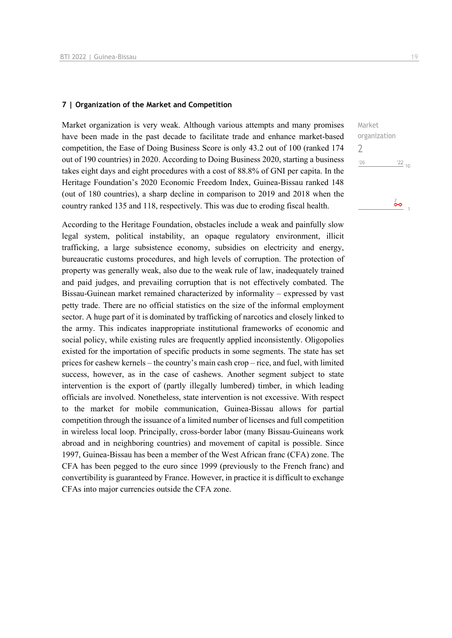#### **7 | Organization of the Market and Competition**

Market organization is very weak. Although various attempts and many promises have been made in the past decade to facilitate trade and enhance market-based competition, the Ease of Doing Business Score is only 43.2 out of 100 (ranked 174 out of 190 countries) in 2020. According to Doing Business 2020, starting a business takes eight days and eight procedures with a cost of 88.8% of GNI per capita. In the Heritage Foundation's 2020 Economic Freedom Index, Guinea-Bissau ranked 148 (out of 180 countries), a sharp decline in comparison to 2019 and 2018 when the country ranked 135 and 118, respectively. This was due to eroding fiscal health.

According to the Heritage Foundation, obstacles include a weak and painfully slow legal system, political instability, an opaque regulatory environment, illicit trafficking, a large subsistence economy, subsidies on electricity and energy, bureaucratic customs procedures, and high levels of corruption. The protection of property was generally weak, also due to the weak rule of law, inadequately trained and paid judges, and prevailing corruption that is not effectively combated. The Bissau-Guinean market remained characterized by informality – expressed by vast petty trade. There are no official statistics on the size of the informal employment sector. A huge part of it is dominated by trafficking of narcotics and closely linked to the army. This indicates inappropriate institutional frameworks of economic and social policy, while existing rules are frequently applied inconsistently. Oligopolies existed for the importation of specific products in some segments. The state has set prices for cashew kernels – the country's main cash crop – rice, and fuel, with limited success, however, as in the case of cashews. Another segment subject to state intervention is the export of (partly illegally lumbered) timber, in which leading officials are involved. Nonetheless, state intervention is not excessive. With respect to the market for mobile communication, Guinea-Bissau allows for partial competition through the issuance of a limited number of licenses and full competition in wireless local loop. Principally, cross-border labor (many Bissau-Guineans work abroad and in neighboring countries) and movement of capital is possible. Since 1997, Guinea-Bissau has been a member of the West African franc (CFA) zone. The CFA has been pegged to the euro since 1999 (previously to the French franc) and convertibility is guaranteed by France. However, in practice it is difficult to exchange CFAs into major currencies outside the CFA zone.

Market organization 2 $06'$  $\frac{22}{10}$ ô٥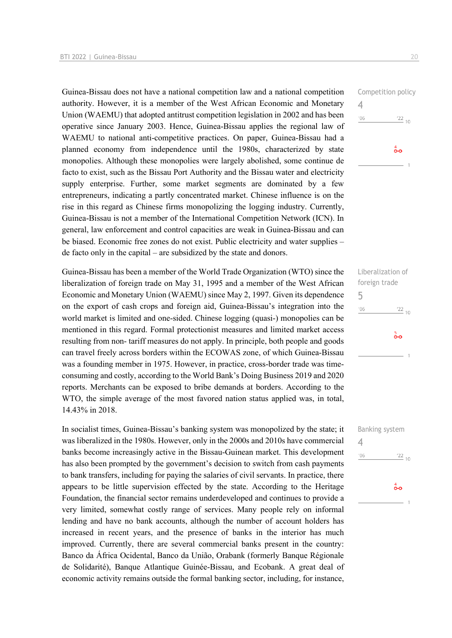Guinea-Bissau does not have a national competition law and a national competition authority. However, it is a member of the West African Economic and Monetary Union (WAEMU) that adopted antitrust competition legislation in 2002 and has been operative since January 2003. Hence, Guinea-Bissau applies the regional law of WAEMU to national anti-competitive practices. On paper, Guinea-Bissau had a planned economy from independence until the 1980s, characterized by state monopolies. Although these monopolies were largely abolished, some continue de facto to exist, such as the Bissau Port Authority and the Bissau water and electricity supply enterprise. Further, some market segments are dominated by a few entrepreneurs, indicating a partly concentrated market. Chinese influence is on the rise in this regard as Chinese firms monopolizing the logging industry. Currently, Guinea-Bissau is not a member of the International Competition Network (ICN). In general, law enforcement and control capacities are weak in Guinea-Bissau and can be biased. Economic free zones do not exist. Public electricity and water supplies – de facto only in the capital – are subsidized by the state and donors.

Guinea-Bissau has been a member of the World Trade Organization (WTO) since the liberalization of foreign trade on May 31, 1995 and a member of the West African Economic and Monetary Union (WAEMU) since May 2, 1997. Given its dependence on the export of cash crops and foreign aid, Guinea-Bissau's integration into the world market is limited and one-sided. Chinese logging (quasi-) monopolies can be mentioned in this regard. Formal protectionist measures and limited market access resulting from non- tariff measures do not apply. In principle, both people and goods can travel freely across borders within the ECOWAS zone, of which Guinea-Bissau was a founding member in 1975. However, in practice, cross-border trade was timeconsuming and costly, according to the World Bank's Doing Business 2019 and 2020 reports. Merchants can be exposed to bribe demands at borders. According to the WTO, the simple average of the most favored nation status applied was, in total, 14.43% in 2018.

In socialist times, Guinea-Bissau's banking system was monopolized by the state; it was liberalized in the 1980s. However, only in the 2000s and 2010s have commercial banks become increasingly active in the Bissau-Guinean market. This development has also been prompted by the government's decision to switch from cash payments to bank transfers, including for paying the salaries of civil servants. In practice, there appears to be little supervision effected by the state. According to the Heritage Foundation, the financial sector remains underdeveloped and continues to provide a very limited, somewhat costly range of services. Many people rely on informal lending and have no bank accounts, although the number of account holders has increased in recent years, and the presence of banks in the interior has much improved. Currently, there are several commercial banks present in the country: Banco da África Ocidental, Banco da União, Orabank (formerly Banque Régionale de Solidarité), Banque Atlantique Guinée-Bissau, and Ecobank. A great deal of economic activity remains outside the formal banking sector, including, for instance,

Competition policy 4  $106$  $\frac{22}{10}$  $\overset{4}{\bullet}$ 

Liberalization of foreign trade 5  $'06$  $^{22}$  10  $\frac{5}{2}$ 

Banking system 4 $'06$  $\frac{22}{10}$  $\overset{4}{\bullet}$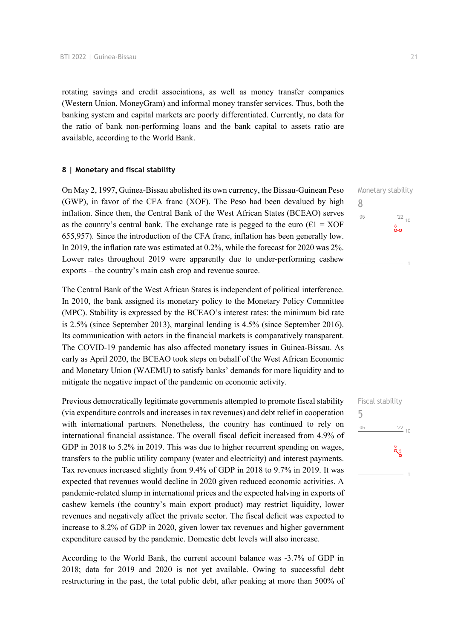rotating savings and credit associations, as well as money transfer companies (Western Union, MoneyGram) and informal money transfer services. Thus, both the banking system and capital markets are poorly differentiated. Currently, no data for the ratio of bank non-performing loans and the bank capital to assets ratio are available, according to the World Bank.

#### **8 | Monetary and fiscal stability**

On May 2, 1997, Guinea-Bissau abolished its own currency, the Bissau-Guinean Peso (GWP), in favor of the CFA franc (XOF). The Peso had been devalued by high inflation. Since then, the Central Bank of the West African States (BCEAO) serves as the country's central bank. The exchange rate is pegged to the euro ( $\epsilon$ 1 = XOF 655,957). Since the introduction of the CFA franc, inflation has been generally low. In 2019, the inflation rate was estimated at 0.2%, while the forecast for 2020 was 2%. Lower rates throughout 2019 were apparently due to under-performing cashew exports – the country's main cash crop and revenue source.

The Central Bank of the West African States is independent of political interference. In 2010, the bank assigned its monetary policy to the Monetary Policy Committee (MPC). Stability is expressed by the BCEAO's interest rates: the minimum bid rate is 2.5% (since September 2013), marginal lending is 4.5% (since September 2016). Its communication with actors in the financial markets is comparatively transparent. The COVID-19 pandemic has also affected monetary issues in Guinea-Bissau. As early as April 2020, the BCEAO took steps on behalf of the West African Economic and Monetary Union (WAEMU) to satisfy banks' demands for more liquidity and to mitigate the negative impact of the pandemic on economic activity.

Previous democratically legitimate governments attempted to promote fiscal stability (via expenditure controls and increases in tax revenues) and debt relief in cooperation with international partners. Nonetheless, the country has continued to rely on international financial assistance. The overall fiscal deficit increased from 4.9% of GDP in 2018 to 5.2% in 2019. This was due to higher recurrent spending on wages, transfers to the public utility company (water and electricity) and interest payments. Tax revenues increased slightly from 9.4% of GDP in 2018 to 9.7% in 2019. It was expected that revenues would decline in 2020 given reduced economic activities. A pandemic-related slump in international prices and the expected halving in exports of cashew kernels (the country's main export product) may restrict liquidity, lower revenues and negatively affect the private sector. The fiscal deficit was expected to increase to 8.2% of GDP in 2020, given lower tax revenues and higher government expenditure caused by the pandemic. Domestic debt levels will also increase.

According to the World Bank, the current account balance was -3.7% of GDP in 2018; data for 2019 and 2020 is not yet available. Owing to successful debt restructuring in the past, the total public debt, after peaking at more than 500% of Monetary stability 8  $^{\prime}06$  $\frac{22}{10}$ း<br>၀-၀

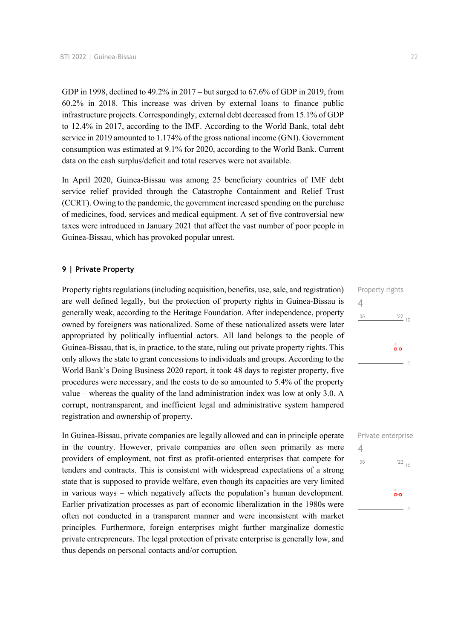GDP in 1998, declined to 49.2% in 2017 – but surged to 67.6% of GDP in 2019, from 60.2% in 2018. This increase was driven by external loans to finance public infrastructure projects. Correspondingly, external debt decreased from 15.1% of GDP to 12.4% in 2017, according to the IMF. According to the World Bank, total debt service in 2019 amounted to 1.174% of the gross national income (GNI). Government consumption was estimated at 9.1% for 2020, according to the World Bank. Current data on the cash surplus/deficit and total reserves were not available.

In April 2020, Guinea-Bissau was among 25 beneficiary countries of IMF debt service relief provided through the Catastrophe Containment and Relief Trust (CCRT). Owing to the pandemic, the government increased spending on the purchase of medicines, food, services and medical equipment. A set of five controversial new taxes were introduced in January 2021 that affect the vast number of poor people in Guinea-Bissau, which has provoked popular unrest.

#### **9 | Private Property**

Property rights regulations (including acquisition, benefits, use, sale, and registration) are well defined legally, but the protection of property rights in Guinea-Bissau is generally weak, according to the Heritage Foundation. After independence, property owned by foreigners was nationalized. Some of these nationalized assets were later appropriated by politically influential actors. All land belongs to the people of Guinea-Bissau, that is, in practice, to the state, ruling out private property rights. This only allows the state to grant concessions to individuals and groups. According to the World Bank's Doing Business 2020 report, it took 48 days to register property, five procedures were necessary, and the costs to do so amounted to 5.4% of the property value – whereas the quality of the land administration index was low at only 3.0. A corrupt, nontransparent, and inefficient legal and administrative system hampered registration and ownership of property.

In Guinea-Bissau, private companies are legally allowed and can in principle operate in the country. However, private companies are often seen primarily as mere providers of employment, not first as profit-oriented enterprises that compete for tenders and contracts. This is consistent with widespread expectations of a strong state that is supposed to provide welfare, even though its capacities are very limited in various ways – which negatively affects the population's human development. Earlier privatization processes as part of economic liberalization in the 1980s were often not conducted in a transparent manner and were inconsistent with market principles. Furthermore, foreign enterprises might further marginalize domestic private entrepreneurs. The legal protection of private enterprise is generally low, and thus depends on personal contacts and/or corruption.

Property rights 4  $106$  $\frac{22}{10}$  $\sigma$ o

|     | Private enterprise       |
|-----|--------------------------|
| 4   |                          |
| '06 | $\frac{22}{10}$          |
|     |                          |
|     | $\overset{4}{\bullet}$ o |
|     |                          |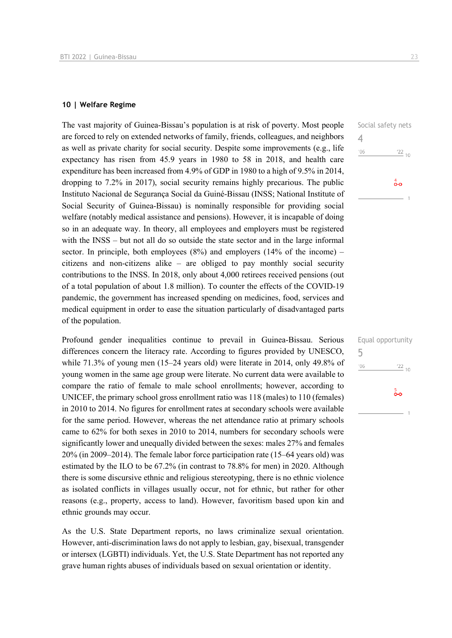#### **10 | Welfare Regime**

The vast majority of Guinea-Bissau's population is at risk of poverty. Most people are forced to rely on extended networks of family, friends, colleagues, and neighbors as well as private charity for social security. Despite some improvements (e.g., life expectancy has risen from 45.9 years in 1980 to 58 in 2018, and health care expenditure has been increased from 4.9% of GDP in 1980 to a high of 9.5% in 2014, dropping to 7.2% in 2017), social security remains highly precarious. The public Instituto Nacional de Segurança Social da Guiné-Bissau (INSS; National Institute of Social Security of Guinea-Bissau) is nominally responsible for providing social welfare (notably medical assistance and pensions). However, it is incapable of doing so in an adequate way. In theory, all employees and employers must be registered with the INSS – but not all do so outside the state sector and in the large informal sector. In principle, both employees  $(8\%)$  and employers  $(14\% \text{ of the income})$  – citizens and non-citizens alike – are obliged to pay monthly social security contributions to the INSS. In 2018, only about 4,000 retirees received pensions (out of a total population of about 1.8 million). To counter the effects of the COVID-19 pandemic, the government has increased spending on medicines, food, services and medical equipment in order to ease the situation particularly of disadvantaged parts of the population.

Profound gender inequalities continue to prevail in Guinea-Bissau. Serious differences concern the literacy rate. According to figures provided by UNESCO, while 71.3% of young men (15–24 years old) were literate in 2014, only 49.8% of young women in the same age group were literate. No current data were available to compare the ratio of female to male school enrollments; however, according to UNICEF, the primary school gross enrollment ratio was 118 (males) to 110 (females) in 2010 to 2014. No figures for enrollment rates at secondary schools were available for the same period. However, whereas the net attendance ratio at primary schools came to 62% for both sexes in 2010 to 2014, numbers for secondary schools were significantly lower and unequally divided between the sexes: males 27% and females 20% (in 2009–2014). The female labor force participation rate (15–64 years old) was estimated by the ILO to be 67.2% (in contrast to 78.8% for men) in 2020. Although there is some discursive ethnic and religious stereotyping, there is no ethnic violence as isolated conflicts in villages usually occur, not for ethnic, but rather for other reasons (e.g., property, access to land). However, favoritism based upon kin and ethnic grounds may occur.

As the U.S. State Department reports, no laws criminalize sexual orientation. However, anti-discrimination laws do not apply to lesbian, gay, bisexual, transgender or intersex (LGBTI) individuals. Yet, the U.S. State Department has not reported any grave human rights abuses of individuals based on sexual orientation or identity.

|     | Equal opportunity |
|-----|-------------------|
| 5   |                   |
| '06 | $\frac{22}{10}$   |
|     |                   |
|     | ခံ                |
|     |                   |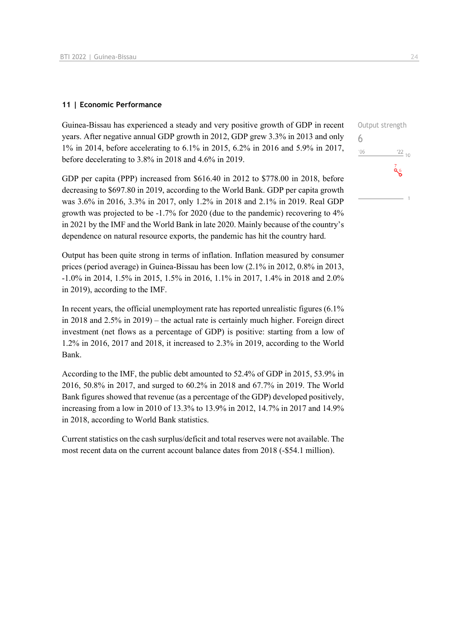#### **11 | Economic Performance**

Guinea-Bissau has experienced a steady and very positive growth of GDP in recent years. After negative annual GDP growth in 2012, GDP grew 3.3% in 2013 and only 1% in 2014, before accelerating to 6.1% in 2015, 6.2% in 2016 and 5.9% in 2017, before decelerating to 3.8% in 2018 and 4.6% in 2019.

GDP per capita (PPP) increased from \$616.40 in 2012 to \$778.00 in 2018, before decreasing to \$697.80 in 2019, according to the World Bank. GDP per capita growth was 3.6% in 2016, 3.3% in 2017, only 1.2% in 2018 and 2.1% in 2019. Real GDP growth was projected to be -1.7% for 2020 (due to the pandemic) recovering to 4% in 2021 by the IMF and the World Bank in late 2020. Mainly because of the country's dependence on natural resource exports, the pandemic has hit the country hard.

Output has been quite strong in terms of inflation. Inflation measured by consumer prices (period average) in Guinea-Bissau has been low (2.1% in 2012, 0.8% in 2013, -1.0% in 2014, 1.5% in 2015, 1.5% in 2016, 1.1% in 2017, 1.4% in 2018 and 2.0% in 2019), according to the IMF.

In recent years, the official unemployment rate has reported unrealistic figures (6.1% in 2018 and 2.5% in 2019) – the actual rate is certainly much higher. Foreign direct investment (net flows as a percentage of GDP) is positive: starting from a low of 1.2% in 2016, 2017 and 2018, it increased to 2.3% in 2019, according to the World Bank.

According to the IMF, the public debt amounted to 52.4% of GDP in 2015, 53.9% in 2016, 50.8% in 2017, and surged to 60.2% in 2018 and 67.7% in 2019. The World Bank figures showed that revenue (as a percentage of the GDP) developed positively, increasing from a low in 2010 of 13.3% to 13.9% in 2012, 14.7% in 2017 and 14.9% in 2018, according to World Bank statistics.

Current statistics on the cash surplus/deficit and total reserves were not available. The most recent data on the current account balance dates from 2018 (-\$54.1 million).

Output strength 6 $'06$  $\frac{22}{10}$ فرة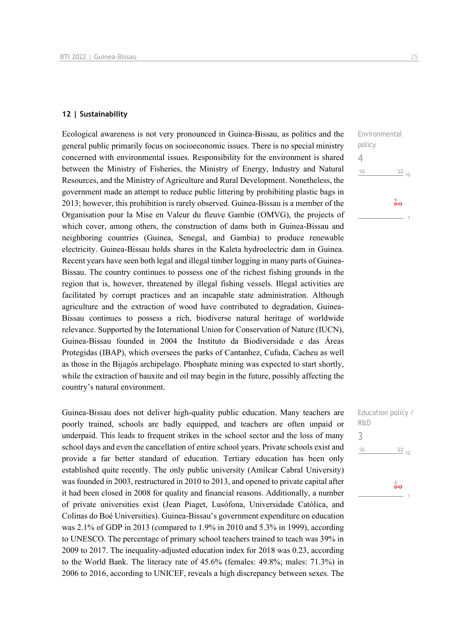#### **12 | Sustainability**

Ecological awareness is not very pronounced in Guinea-Bissau, as politics and the general public primarily focus on socioeconomic issues. There is no special ministry concerned with environmental issues. Responsibility for the environment is shared between the Ministry of Fisheries, the Ministry of Energy, Industry and Natural Resources, and the Ministry of Agriculture and Rural Development. Nonetheless, the government made an attempt to reduce public littering by prohibiting plastic bags in 2013; however, this prohibition is rarely observed. Guinea-Bissau is a member of the Organisation pour la Mise en Valeur du fleuve Gambie (OMVG), the projects of which cover, among others, the construction of dams both in Guinea-Bissau and neighboring countries (Guinea, Senegal, and Gambia) to produce renewable electricity. Guinea-Bissau holds shares in the Kaleta hydroelectric dam in Guinea. Recent years have seen both legal and illegal timber logging in many parts of Guinea-Bissau. The country continues to possess one of the richest fishing grounds in the region that is, however, threatened by illegal fishing vessels. Illegal activities are facilitated by corrupt practices and an incapable state administration. Although agriculture and the extraction of wood have contributed to degradation, Guinea-Bissau continues to possess a rich, biodiverse natural heritage of worldwide relevance. Supported by the International Union for Conservation of Nature (IUCN), Guinea-Bissau founded in 2004 the Instituto da Biodiversidade e das Áreas Protegidas (IBAP), which oversees the parks of Cantanhez, Cufada, Cacheu as well as those in the Bijagós archipelago. Phosphate mining was expected to start shortly, while the extraction of bauxite and oil may begin in the future, possibly affecting the country's natural environment.

Guinea-Bissau does not deliver high-quality public education. Many teachers are poorly trained, schools are badly equipped, and teachers are often unpaid or underpaid. This leads to frequent strikes in the school sector and the loss of many school days and even the cancellation of entire school years. Private schools exist and provide a far better standard of education. Tertiary education has been only established quite recently. The only public university (Amílcar Cabral University) was founded in 2003, restructured in 2010 to 2013, and opened to private capital after it had been closed in 2008 for quality and financial reasons. Additionally, a number of private universities exist (Jean Piaget, Lusófona, Universidade Católica, and Colinas do Boé Universities). Guinea-Bissau's government expenditure on education was 2.1% of GDP in 2013 (compared to 1.9% in 2010 and 5.3% in 1999), according to UNESCO. The percentage of primary school teachers trained to teach was 39% in 2009 to 2017. The inequality-adjusted education index for 2018 was 0.23, according to the World Bank. The literacy rate of 45.6% (females: 49.8%; males: 71.3%) in 2006 to 2016, according to UNICEF, reveals a high discrepancy between sexes. The

Environmental policy 4  $'06$  $\frac{22}{10}$  $\overset{4}{\bullet}\circ$ 

Education policy / R&D 3 $'06$  $\frac{22}{10}$ စိတ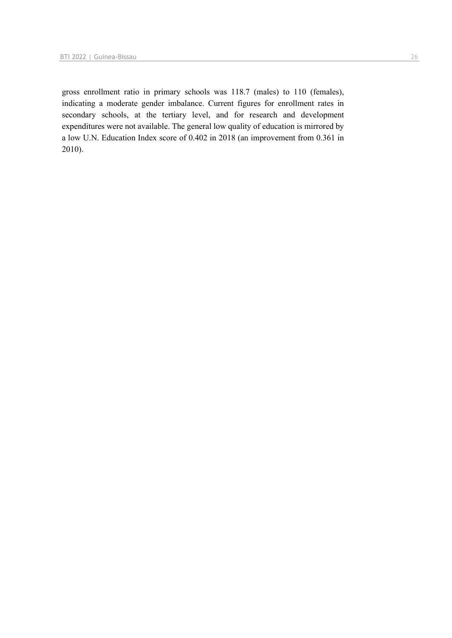gross enrollment ratio in primary schools was 118.7 (males) to 110 (females), indicating a moderate gender imbalance. Current figures for enrollment rates in secondary schools, at the tertiary level, and for research and development expenditures were not available. The general low quality of education is mirrored by a low U.N. Education Index score of 0.402 in 2018 (an improvement from 0.361 in 2010).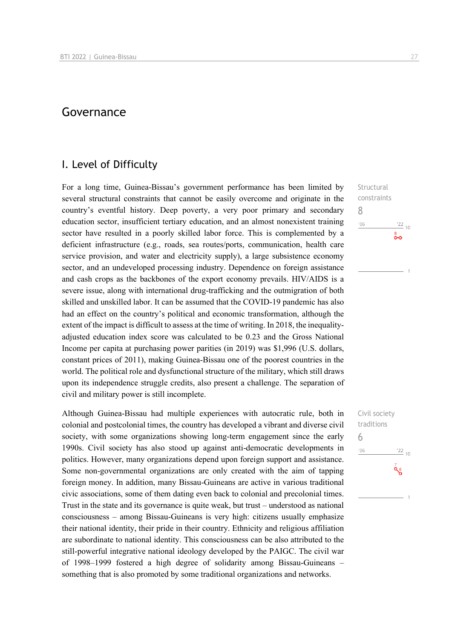# Governance

### I. Level of Difficulty

For a long time, Guinea-Bissau's government performance has been limited by several structural constraints that cannot be easily overcome and originate in the country's eventful history. Deep poverty, a very poor primary and secondary education sector, insufficient tertiary education, and an almost nonexistent training sector have resulted in a poorly skilled labor force. This is complemented by a deficient infrastructure (e.g., roads, sea routes/ports, communication, health care service provision, and water and electricity supply), a large subsistence economy sector, and an undeveloped processing industry. Dependence on foreign assistance and cash crops as the backbones of the export economy prevails. HIV/AIDS is a severe issue, along with international drug-trafficking and the outmigration of both skilled and unskilled labor. It can be assumed that the COVID-19 pandemic has also had an effect on the country's political and economic transformation, although the extent of the impact is difficult to assess at the time of writing. In 2018, the inequalityadjusted education index score was calculated to be 0.23 and the Gross National Income per capita at purchasing power parities (in 2019) was \$1,996 (U.S. dollars, constant prices of 2011), making Guinea-Bissau one of the poorest countries in the world. The political role and dysfunctional structure of the military, which still draws upon its independence struggle credits, also present a challenge. The separation of civil and military power is still incomplete.

Although Guinea-Bissau had multiple experiences with autocratic rule, both in colonial and postcolonial times, the country has developed a vibrant and diverse civil society, with some organizations showing long-term engagement since the early 1990s. Civil society has also stood up against anti-democratic developments in politics. However, many organizations depend upon foreign support and assistance. Some non-governmental organizations are only created with the aim of tapping foreign money. In addition, many Bissau-Guineans are active in various traditional civic associations, some of them dating even back to colonial and precolonial times. Trust in the state and its governance is quite weak, but trust – understood as national consciousness – among Bissau-Guineans is very high: citizens usually emphasize their national identity, their pride in their country. Ethnicity and religious affiliation are subordinate to national identity. This consciousness can be also attributed to the still-powerful integrative national ideology developed by the PAIGC. The civil war of 1998–1999 fostered a high degree of solidarity among Bissau-Guineans – something that is also promoted by some traditional organizations and networks.

**Structural** constraints 8  $n \in \mathbb{Z}$  $\frac{22}{10}$ ⊶

Civil society traditions 6 $\frac{22}{10}$  $n<sub>6</sub>$  $\frac{7}{96}$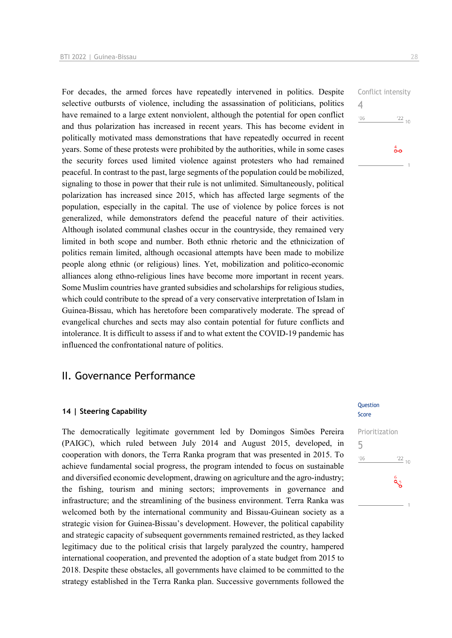For decades, the armed forces have repeatedly intervened in politics. Despite selective outbursts of violence, including the assassination of politicians, politics have remained to a large extent nonviolent, although the potential for open conflict and thus polarization has increased in recent years. This has become evident in politically motivated mass demonstrations that have repeatedly occurred in recent years. Some of these protests were prohibited by the authorities, while in some cases the security forces used limited violence against protesters who had remained peaceful. In contrast to the past, large segments of the population could be mobilized, signaling to those in power that their rule is not unlimited. Simultaneously, political polarization has increased since 2015, which has affected large segments of the population, especially in the capital. The use of violence by police forces is not generalized, while demonstrators defend the peaceful nature of their activities. Although isolated communal clashes occur in the countryside, they remained very limited in both scope and number. Both ethnic rhetoric and the ethnicization of politics remain limited, although occasional attempts have been made to mobilize people along ethnic (or religious) lines. Yet, mobilization and politico-economic alliances along ethno-religious lines have become more important in recent years. Some Muslim countries have granted subsidies and scholarships for religious studies, which could contribute to the spread of a very conservative interpretation of Islam in Guinea-Bissau, which has heretofore been comparatively moderate. The spread of evangelical churches and sects may also contain potential for future conflicts and intolerance. It is difficult to assess if and to what extent the COVID-19 pandemic has influenced the confrontational nature of politics.

# II. Governance Performance

#### **14 | Steering Capability**

The democratically legitimate government led by Domingos Simões Pereira (PAIGC), which ruled between July 2014 and August 2015, developed, in cooperation with donors, the Terra Ranka program that was presented in 2015. To achieve fundamental social progress, the program intended to focus on sustainable and diversified economic development, drawing on agriculture and the agro-industry; the fishing, tourism and mining sectors; improvements in governance and infrastructure; and the streamlining of the business environment. Terra Ranka was welcomed both by the international community and Bissau-Guinean society as a strategic vision for Guinea-Bissau's development. However, the political capability and strategic capacity of subsequent governments remained restricted, as they lacked legitimacy due to the political crisis that largely paralyzed the country, hampered international cooperation, and prevented the adoption of a state budget from 2015 to 2018. Despite these obstacles, all governments have claimed to be committed to the strategy established in the Terra Ranka plan. Successive governments followed the Conflict intensity 4  $106$  $\frac{22}{10}$  $\overset{4}{\bullet}$ o

#### **Question** Score

Prioritization 5 $\frac{22}{10}$  $^{\prime}06$  $a_{5}$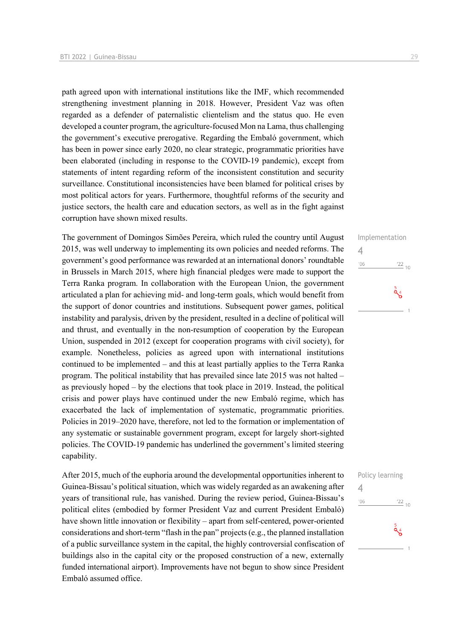path agreed upon with international institutions like the IMF, which recommended strengthening investment planning in 2018. However, President Vaz was often regarded as a defender of paternalistic clientelism and the status quo. He even developed a counter program, the agriculture-focused Mon na Lama, thus challenging the government's executive prerogative. Regarding the Embaló government, which has been in power since early 2020, no clear strategic, programmatic priorities have been elaborated (including in response to the COVID-19 pandemic), except from statements of intent regarding reform of the inconsistent constitution and security surveillance. Constitutional inconsistencies have been blamed for political crises by most political actors for years. Furthermore, thoughtful reforms of the security and justice sectors, the health care and education sectors, as well as in the fight against corruption have shown mixed results.

The government of Domingos Simões Pereira, which ruled the country until August 2015, was well underway to implementing its own policies and needed reforms. The government's good performance was rewarded at an international donors' roundtable in Brussels in March 2015, where high financial pledges were made to support the Terra Ranka program. In collaboration with the European Union, the government articulated a plan for achieving mid- and long-term goals, which would benefit from the support of donor countries and institutions. Subsequent power games, political instability and paralysis, driven by the president, resulted in a decline of political will and thrust, and eventually in the non-resumption of cooperation by the European Union, suspended in 2012 (except for cooperation programs with civil society), for example. Nonetheless, policies as agreed upon with international institutions continued to be implemented – and this at least partially applies to the Terra Ranka program. The political instability that has prevailed since late 2015 was not halted – as previously hoped – by the elections that took place in 2019. Instead, the political crisis and power plays have continued under the new Embaló regime, which has exacerbated the lack of implementation of systematic, programmatic priorities. Policies in 2019–2020 have, therefore, not led to the formation or implementation of any systematic or sustainable government program, except for largely short-sighted policies. The COVID-19 pandemic has underlined the government's limited steering capability.

After 2015, much of the euphoria around the developmental opportunities inherent to Guinea-Bissau's political situation, which was widely regarded as an awakening after years of transitional rule, has vanished. During the review period, Guinea-Bissau's political elites (embodied by former President Vaz and current President Embaló) have shown little innovation or flexibility – apart from self-centered, power-oriented considerations and short-term "flash in the pan" projects (e.g., the planned installation of a public surveillance system in the capital, the highly controversial confiscation of buildings also in the capital city or the proposed construction of a new, externally funded international airport). Improvements have not begun to show since President Embaló assumed office.

# Implementation 4  $'06$  $\frac{22}{10}$

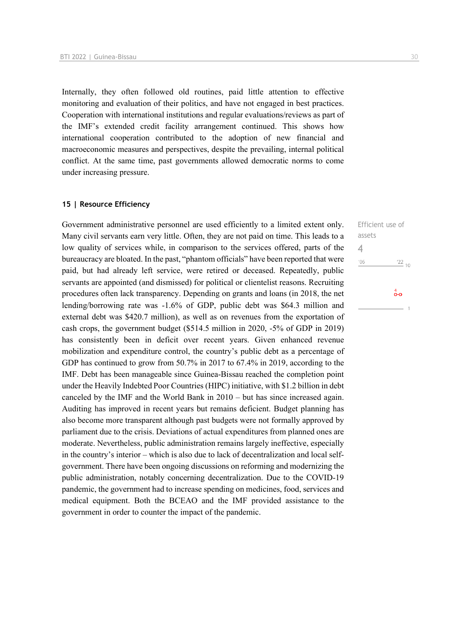Internally, they often followed old routines, paid little attention to effective monitoring and evaluation of their politics, and have not engaged in best practices. Cooperation with international institutions and regular evaluations/reviews as part of the IMF's extended credit facility arrangement continued. This shows how international cooperation contributed to the adoption of new financial and macroeconomic measures and perspectives, despite the prevailing, internal political conflict. At the same time, past governments allowed democratic norms to come under increasing pressure.

#### **15 | Resource Efficiency**

Government administrative personnel are used efficiently to a limited extent only. Many civil servants earn very little. Often, they are not paid on time. This leads to a low quality of services while, in comparison to the services offered, parts of the bureaucracy are bloated. In the past, "phantom officials" have been reported that were paid, but had already left service, were retired or deceased. Repeatedly, public servants are appointed (and dismissed) for political or clientelist reasons. Recruiting procedures often lack transparency. Depending on grants and loans (in 2018, the net lending/borrowing rate was -1.6% of GDP, public debt was \$64.3 million and external debt was \$420.7 million), as well as on revenues from the exportation of cash crops, the government budget (\$514.5 million in 2020, -5% of GDP in 2019) has consistently been in deficit over recent years. Given enhanced revenue mobilization and expenditure control, the country's public debt as a percentage of GDP has continued to grow from 50.7% in 2017 to 67.4% in 2019, according to the IMF. Debt has been manageable since Guinea-Bissau reached the completion point under the Heavily Indebted Poor Countries (HIPC) initiative, with \$1.2 billion in debt canceled by the IMF and the World Bank in 2010 – but has since increased again. Auditing has improved in recent years but remains deficient. Budget planning has also become more transparent although past budgets were not formally approved by parliament due to the crisis. Deviations of actual expenditures from planned ones are moderate. Nevertheless, public administration remains largely ineffective, especially in the country's interior – which is also due to lack of decentralization and local selfgovernment. There have been ongoing discussions on reforming and modernizing the public administration, notably concerning decentralization. Due to the COVID-19 pandemic, the government had to increase spending on medicines, food, services and medical equipment. Both the BCEAO and the IMF provided assistance to the government in order to counter the impact of the pandemic.

Efficient use of assets 4 $\frac{22}{10}$  $-06$  $\overset{4}{\bullet}$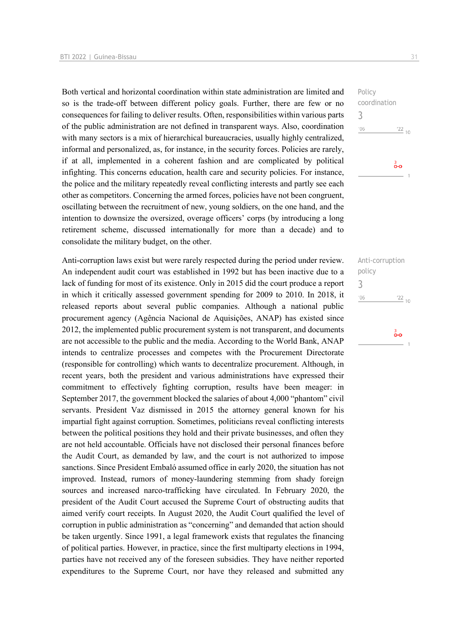Both vertical and horizontal coordination within state administration are limited and so is the trade-off between different policy goals. Further, there are few or no consequences for failing to deliver results. Often, responsibilities within various parts of the public administration are not defined in transparent ways. Also, coordination with many sectors is a mix of hierarchical bureaucracies, usually highly centralized, informal and personalized, as, for instance, in the security forces. Policies are rarely, if at all, implemented in a coherent fashion and are complicated by political infighting. This concerns education, health care and security policies. For instance, the police and the military repeatedly reveal conflicting interests and partly see each other as competitors. Concerning the armed forces, policies have not been congruent, oscillating between the recruitment of new, young soldiers, on the one hand, and the intention to downsize the oversized, overage officers' corps (by introducing a long retirement scheme, discussed internationally for more than a decade) and to consolidate the military budget, on the other.

Anti-corruption laws exist but were rarely respected during the period under review. An independent audit court was established in 1992 but has been inactive due to a lack of funding for most of its existence. Only in 2015 did the court produce a report in which it critically assessed government spending for 2009 to 2010. In 2018, it released reports about several public companies. Although a national public procurement agency (Agência Nacional de Aquisições, ANAP) has existed since 2012, the implemented public procurement system is not transparent, and documents are not accessible to the public and the media. According to the World Bank, ANAP intends to centralize processes and competes with the Procurement Directorate (responsible for controlling) which wants to decentralize procurement. Although, in recent years, both the president and various administrations have expressed their commitment to effectively fighting corruption, results have been meager: in September 2017, the government blocked the salaries of about 4,000 "phantom" civil servants. President Vaz dismissed in 2015 the attorney general known for his impartial fight against corruption. Sometimes, politicians reveal conflicting interests between the political positions they hold and their private businesses, and often they are not held accountable. Officials have not disclosed their personal finances before the Audit Court, as demanded by law, and the court is not authorized to impose sanctions. Since President Embaló assumed office in early 2020, the situation has not improved. Instead, rumors of money-laundering stemming from shady foreign sources and increased narco-trafficking have circulated. In February 2020, the president of the Audit Court accused the Supreme Court of obstructing audits that aimed verify court receipts. In August 2020, the Audit Court qualified the level of corruption in public administration as "concerning" and demanded that action should be taken urgently. Since 1991, a legal framework exists that regulates the financing of political parties. However, in practice, since the first multiparty elections in 1994, parties have not received any of the foreseen subsidies. They have neither reported expenditures to the Supreme Court, nor have they released and submitted any

Policy coordination 3  $^{\prime}06$  $\frac{22}{10}$ 

္တီ

Anti-corruption policy 3 $\frac{22}{10}$  $-06$ 

စံစ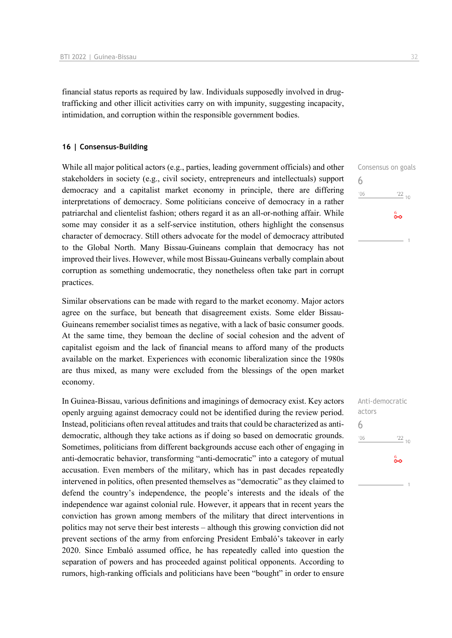financial status reports as required by law. Individuals supposedly involved in drugtrafficking and other illicit activities carry on with impunity, suggesting incapacity, intimidation, and corruption within the responsible government bodies.

#### **16 | Consensus-Building**

While all major political actors (e.g., parties, leading government officials) and other stakeholders in society (e.g., civil society, entrepreneurs and intellectuals) support democracy and a capitalist market economy in principle, there are differing interpretations of democracy. Some politicians conceive of democracy in a rather patriarchal and clientelist fashion; others regard it as an all-or-nothing affair. While some may consider it as a self-service institution, others highlight the consensus character of democracy. Still others advocate for the model of democracy attributed to the Global North. Many Bissau-Guineans complain that democracy has not improved their lives. However, while most Bissau-Guineans verbally complain about corruption as something undemocratic, they nonetheless often take part in corrupt practices.

Similar observations can be made with regard to the market economy. Major actors agree on the surface, but beneath that disagreement exists. Some elder Bissau-Guineans remember socialist times as negative, with a lack of basic consumer goods. At the same time, they bemoan the decline of social cohesion and the advent of capitalist egoism and the lack of financial means to afford many of the products available on the market. Experiences with economic liberalization since the 1980s are thus mixed, as many were excluded from the blessings of the open market economy.

In Guinea-Bissau, various definitions and imaginings of democracy exist. Key actors openly arguing against democracy could not be identified during the review period. Instead, politicians often reveal attitudes and traits that could be characterized as antidemocratic, although they take actions as if doing so based on democratic grounds. Sometimes, politicians from different backgrounds accuse each other of engaging in anti-democratic behavior, transforming "anti-democratic" into a category of mutual accusation. Even members of the military, which has in past decades repeatedly intervened in politics, often presented themselves as "democratic" as they claimed to defend the country's independence, the people's interests and the ideals of the independence war against colonial rule. However, it appears that in recent years the conviction has grown among members of the military that direct interventions in politics may not serve their best interests – although this growing conviction did not prevent sections of the army from enforcing President Embaló's takeover in early 2020. Since Embaló assumed office, he has repeatedly called into question the separation of powers and has proceeded against political opponents. According to rumors, high-ranking officials and politicians have been "bought" in order to ensure

Consensus on goals 6  $\frac{22}{10}$  $'06$  $\overset{6}{\bullet}\circ$ 

Anti-democratic actors 6 $-06$  $\frac{22}{10}$  $\overset{6}{\bullet}$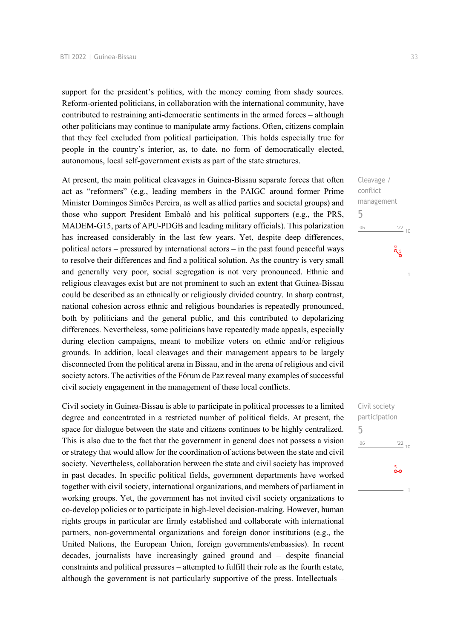support for the president's politics, with the money coming from shady sources. Reform-oriented politicians, in collaboration with the international community, have contributed to restraining anti-democratic sentiments in the armed forces – although other politicians may continue to manipulate army factions. Often, citizens complain that they feel excluded from political participation. This holds especially true for people in the country's interior, as, to date, no form of democratically elected, autonomous, local self-government exists as part of the state structures.

At present, the main political cleavages in Guinea-Bissau separate forces that often act as "reformers" (e.g., leading members in the PAIGC around former Prime Minister Domingos Simões Pereira, as well as allied parties and societal groups) and those who support President Embaló and his political supporters (e.g., the PRS, MADEM-G15, parts of APU-PDGB and leading military officials). This polarization has increased considerably in the last few years. Yet, despite deep differences, political actors – pressured by international actors – in the past found peaceful ways to resolve their differences and find a political solution. As the country is very small and generally very poor, social segregation is not very pronounced. Ethnic and religious cleavages exist but are not prominent to such an extent that Guinea-Bissau could be described as an ethnically or religiously divided country. In sharp contrast, national cohesion across ethnic and religious boundaries is repeatedly pronounced, both by politicians and the general public, and this contributed to depolarizing differences. Nevertheless, some politicians have repeatedly made appeals, especially during election campaigns, meant to mobilize voters on ethnic and/or religious grounds. In addition, local cleavages and their management appears to be largely disconnected from the political arena in Bissau, and in the arena of religious and civil society actors. The activities of the Fórum de Paz reveal many examples of successful civil society engagement in the management of these local conflicts.

Civil society in Guinea-Bissau is able to participate in political processes to a limited degree and concentrated in a restricted number of political fields. At present, the space for dialogue between the state and citizens continues to be highly centralized. This is also due to the fact that the government in general does not possess a vision or strategy that would allow for the coordination of actions between the state and civil society. Nevertheless, collaboration between the state and civil society has improved in past decades. In specific political fields, government departments have worked together with civil society, international organizations, and members of parliament in working groups. Yet, the government has not invited civil society organizations to co-develop policies or to participate in high-level decision-making. However, human rights groups in particular are firmly established and collaborate with international partners, non-governmental organizations and foreign donor institutions (e.g., the United Nations, the European Union, foreign governments/embassies). In recent decades, journalists have increasingly gained ground and – despite financial constraints and political pressures – attempted to fulfill their role as the fourth estate, although the government is not particularly supportive of the press. Intellectuals –

Cleavage / conflict management 5  $^{\prime}06$  $\frac{22}{10}$  $a_{5}^{\circ}$ 

Civil society participation 5 $06'$  $\frac{22}{10}$  $\frac{5}{20}$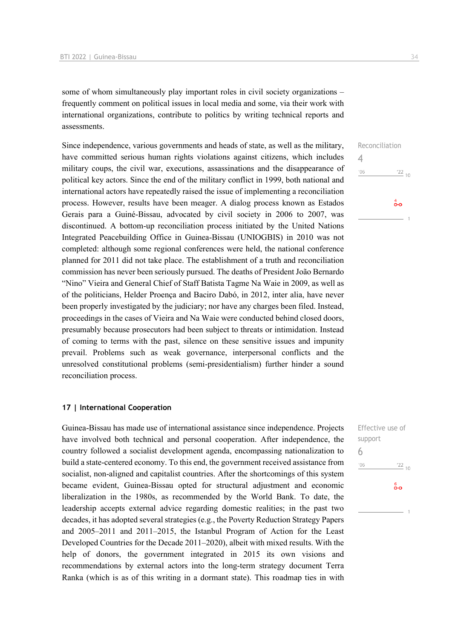some of whom simultaneously play important roles in civil society organizations – frequently comment on political issues in local media and some, via their work with international organizations, contribute to politics by writing technical reports and assessments.

Since independence, various governments and heads of state, as well as the military, have committed serious human rights violations against citizens, which includes military coups, the civil war, executions, assassinations and the disappearance of political key actors. Since the end of the military conflict in 1999, both national and international actors have repeatedly raised the issue of implementing a reconciliation process. However, results have been meager. A dialog process known as Estados Gerais para a Guiné-Bissau, advocated by civil society in 2006 to 2007, was discontinued. A bottom-up reconciliation process initiated by the United Nations Integrated Peacebuilding Office in Guinea-Bissau (UNIOGBIS) in 2010 was not completed: although some regional conferences were held, the national conference planned for 2011 did not take place. The establishment of a truth and reconciliation commission has never been seriously pursued. The deaths of President João Bernardo "Nino" Vieira and General Chief of Staff Batista Tagme Na Waie in 2009, as well as of the politicians, Helder Proença and Baciro Dabó, in 2012, inter alia, have never been properly investigated by the judiciary; nor have any charges been filed. Instead, proceedings in the cases of Vieira and Na Waie were conducted behind closed doors, presumably because prosecutors had been subject to threats or intimidation. Instead of coming to terms with the past, silence on these sensitive issues and impunity prevail. Problems such as weak governance, interpersonal conflicts and the unresolved constitutional problems (semi-presidentialism) further hinder a sound reconciliation process.

#### **17 | International Cooperation**

Guinea-Bissau has made use of international assistance since independence. Projects have involved both technical and personal cooperation. After independence, the country followed a socialist development agenda, encompassing nationalization to build a state-centered economy. To this end, the government received assistance from socialist, non-aligned and capitalist countries. After the shortcomings of this system became evident, Guinea-Bissau opted for structural adjustment and economic liberalization in the 1980s, as recommended by the World Bank. To date, the leadership accepts external advice regarding domestic realities; in the past two decades, it has adopted several strategies (e.g., the Poverty Reduction Strategy Papers and 2005–2011 and 2011–2015, the Istanbul Program of Action for the Least Developed Countries for the Decade 2011–2020), albeit with mixed results. With the help of donors, the government integrated in 2015 its own visions and recommendations by external actors into the long-term strategy document Terra Ranka (which is as of this writing in a dormant state). This roadmap ties in with



| Effective use of |                 |
|------------------|-----------------|
| support          |                 |
| 6                |                 |
| '06              | $\frac{22}{10}$ |
|                  | စိတ             |
|                  |                 |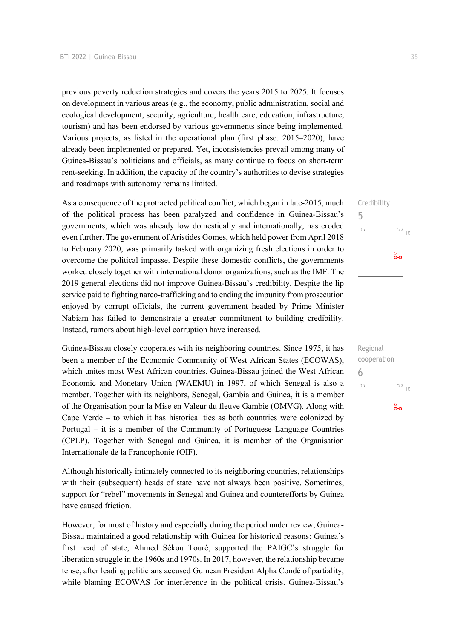previous poverty reduction strategies and covers the years 2015 to 2025. It focuses on development in various areas (e.g., the economy, public administration, social and ecological development, security, agriculture, health care, education, infrastructure, tourism) and has been endorsed by various governments since being implemented. Various projects, as listed in the operational plan (first phase: 2015–2020), have already been implemented or prepared. Yet, inconsistencies prevail among many of Guinea-Bissau's politicians and officials, as many continue to focus on short-term rent-seeking. In addition, the capacity of the country's authorities to devise strategies and roadmaps with autonomy remains limited.

As a consequence of the protracted political conflict, which began in late-2015, much of the political process has been paralyzed and confidence in Guinea-Bissau's governments, which was already low domestically and internationally, has eroded even further. The government of Aristides Gomes, which held power from April 2018 to February 2020, was primarily tasked with organizing fresh elections in order to overcome the political impasse. Despite these domestic conflicts, the governments worked closely together with international donor organizations, such as the IMF. The 2019 general elections did not improve Guinea-Bissau's credibility. Despite the lip service paid to fighting narco-trafficking and to ending the impunity from prosecution enjoyed by corrupt officials, the current government headed by Prime Minister Nabiam has failed to demonstrate a greater commitment to building credibility. Instead, rumors about high-level corruption have increased.

Guinea-Bissau closely cooperates with its neighboring countries. Since 1975, it has been a member of the Economic Community of West African States (ECOWAS), which unites most West African countries. Guinea-Bissau joined the West African Economic and Monetary Union (WAEMU) in 1997, of which Senegal is also a member. Together with its neighbors, Senegal, Gambia and Guinea, it is a member of the Organisation pour la Mise en Valeur du fleuve Gambie (OMVG). Along with Cape Verde – to which it has historical ties as both countries were colonized by Portugal – it is a member of the Community of Portuguese Language Countries (CPLP). Together with Senegal and Guinea, it is member of the Organisation Internationale de la Francophonie (OIF).

Although historically intimately connected to its neighboring countries, relationships with their (subsequent) heads of state have not always been positive. Sometimes, support for "rebel" movements in Senegal and Guinea and counterefforts by Guinea have caused friction.

However, for most of history and especially during the period under review, Guinea-Bissau maintained a good relationship with Guinea for historical reasons: Guinea's first head of state, Ahmed Sékou Touré, supported the PAIGC's struggle for liberation struggle in the 1960s and 1970s. In 2017, however, the relationship became tense, after leading politicians accused Guinean President Alpha Condé of partiality, while blaming ECOWAS for interference in the political crisis. Guinea-Bissau's Credibility

 $\frac{22}{10}$ 

 $\frac{22}{10}$ 

စိစ

 $\frac{5}{20}$ 

Regional cooperation

6

 $'06$ 

5

 $n<sub>6</sub>$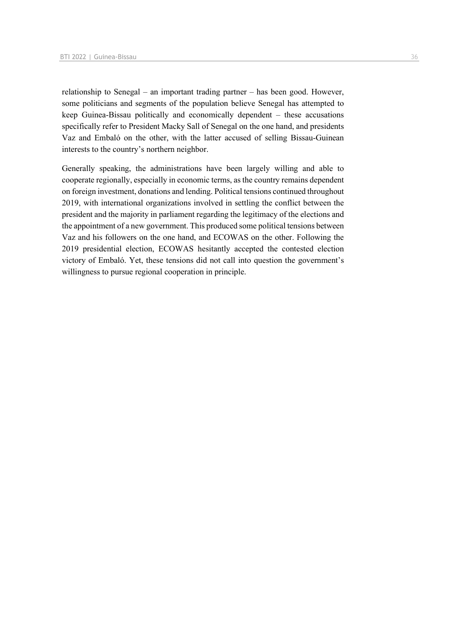relationship to Senegal – an important trading partner – has been good. However, some politicians and segments of the population believe Senegal has attempted to keep Guinea-Bissau politically and economically dependent – these accusations specifically refer to President Macky Sall of Senegal on the one hand, and presidents Vaz and Embaló on the other, with the latter accused of selling Bissau-Guinean interests to the country's northern neighbor.

Generally speaking, the administrations have been largely willing and able to cooperate regionally, especially in economic terms, as the country remains dependent on foreign investment, donations and lending. Political tensions continued throughout 2019, with international organizations involved in settling the conflict between the president and the majority in parliament regarding the legitimacy of the elections and the appointment of a new government. This produced some political tensions between Vaz and his followers on the one hand, and ECOWAS on the other. Following the 2019 presidential election, ECOWAS hesitantly accepted the contested election victory of Embaló. Yet, these tensions did not call into question the government's willingness to pursue regional cooperation in principle.